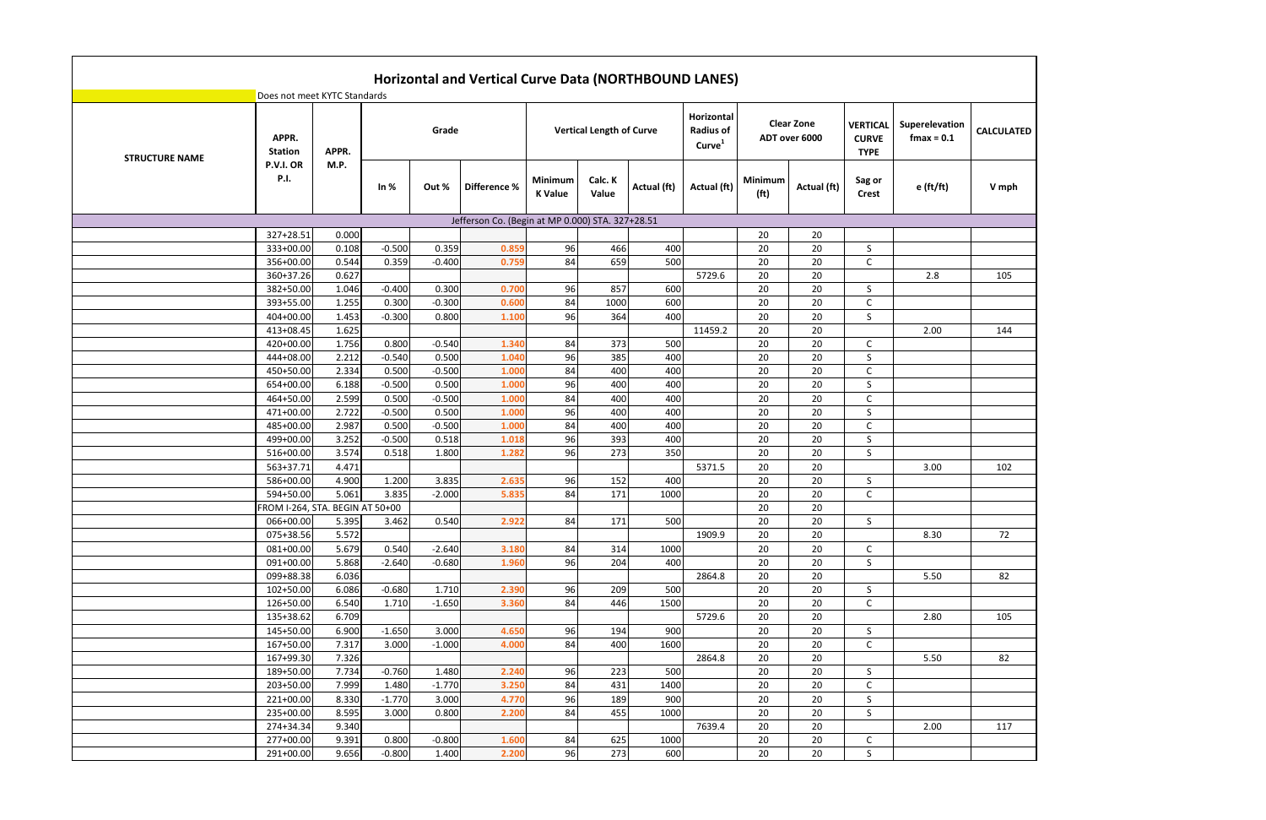|                       |                                 |       |          |          | Horizontal and Vertical Curve Data (NORTHBOUND LANES) |                           |                                 |             |                                                      |                              |                                    |                                                |                                 |                   |
|-----------------------|---------------------------------|-------|----------|----------|-------------------------------------------------------|---------------------------|---------------------------------|-------------|------------------------------------------------------|------------------------------|------------------------------------|------------------------------------------------|---------------------------------|-------------------|
|                       | Does not meet KYTC Standards    |       |          |          |                                                       |                           |                                 |             |                                                      |                              |                                    |                                                |                                 |                   |
| <b>STRUCTURE NAME</b> | APPR.<br><b>Station</b>         | APPR. |          | Grade    |                                                       |                           | <b>Vertical Length of Curve</b> |             | Horizontal<br><b>Radius of</b><br>Curve <sup>1</sup> |                              | <b>Clear Zone</b><br>ADT over 6000 | <b>VERTICAL</b><br><b>CURVE</b><br><b>TYPE</b> | Superelevation<br>$f$ max = 0.1 | <b>CALCULATED</b> |
|                       | P.V.I. OR<br><b>P.I.</b>        | M.P.  | In $%$   | Out %    | Difference %                                          | Minimum<br><b>K</b> Value | Calc. K<br>Value                | Actual (ft) | Actual (ft)                                          | Minimum<br>(f <sup>t</sup> ) | Actual (ft)                        | Sag or<br><b>Crest</b>                         | e (ft/ft)                       | V mph             |
|                       |                                 |       |          |          | Jefferson Co. (Begin at MP 0.000) STA. 327+28.51      |                           |                                 |             |                                                      |                              |                                    |                                                |                                 |                   |
|                       | 327+28.51                       | 0.000 |          |          |                                                       |                           |                                 |             |                                                      | 20                           | 20                                 |                                                |                                 |                   |
|                       | 333+00.00                       | 0.108 | $-0.500$ | 0.359    | 0.859                                                 | 96                        | 466                             | 400         |                                                      | 20                           | 20                                 | S                                              |                                 |                   |
|                       | 356+00.00                       | 0.544 | 0.359    | $-0.400$ | 0.759                                                 | 84                        | 659                             | 500         |                                                      | 20                           | 20                                 | C                                              |                                 |                   |
|                       | 360+37.26                       | 0.627 |          |          |                                                       |                           |                                 |             | 5729.6                                               | 20                           | 20                                 |                                                | 2.8                             | 105               |
|                       | 382+50.00                       | 1.046 | $-0.400$ | 0.300    | 0.700                                                 | 96                        | 857                             | 600         |                                                      | 20                           | 20                                 | S                                              |                                 |                   |
|                       | 393+55.00                       | 1.255 | 0.300    | $-0.300$ | 0.600                                                 | 84                        | 1000                            | 600         |                                                      | 20                           | 20                                 | C                                              |                                 |                   |
|                       | 404+00.00                       | 1.453 | $-0.300$ | 0.800    | 1.100                                                 | 96                        | 364                             | 400         |                                                      | 20                           | 20                                 | S                                              |                                 |                   |
|                       | 413+08.45                       | 1.625 |          |          |                                                       |                           |                                 |             | 11459.2                                              | 20                           | 20                                 |                                                | 2.00                            | 144               |
|                       | 420+00.00                       | 1.756 | 0.800    | $-0.540$ | 1.340                                                 | 84                        | 373                             | 500         |                                                      | 20                           | 20                                 | C                                              |                                 |                   |
|                       | 444+08.00                       | 2.212 | $-0.540$ | 0.500    | 1.040                                                 | 96                        | 385                             | 400         |                                                      | 20                           | 20                                 | S                                              |                                 |                   |
|                       | 450+50.00                       | 2.334 | 0.500    | $-0.500$ | 1.000                                                 | 84                        | 400                             | 400         |                                                      | 20                           | 20                                 | C                                              |                                 |                   |
|                       | 654+00.00                       | 6.188 | $-0.500$ | 0.500    | 1.000                                                 | 96                        | 400                             | 400         |                                                      | 20                           | 20                                 | S                                              |                                 |                   |
|                       | 464+50.00                       | 2.599 | 0.500    | $-0.500$ | 1.000                                                 | 84                        | 400                             | 400         |                                                      | 20                           | 20                                 | C                                              |                                 |                   |
|                       | 471+00.00                       | 2.722 | $-0.500$ | 0.500    | 1.000                                                 | 96                        | 400                             | 400         |                                                      | 20                           | 20                                 | S                                              |                                 |                   |
|                       | 485+00.00                       | 2.987 | 0.500    | $-0.500$ | 1.000                                                 | 84                        | 400                             | 400         |                                                      | 20                           | 20                                 | C                                              |                                 |                   |
|                       | 499+00.00                       | 3.252 | $-0.500$ | 0.518    | 1.018                                                 | 96                        | 393                             | 400         |                                                      | 20                           | 20                                 | S                                              |                                 |                   |
|                       | 516+00.00                       | 3.574 | 0.518    | 1.800    | 1.282                                                 | 96                        | 273                             | 350         |                                                      | 20                           | 20                                 | S                                              |                                 |                   |
|                       | 563+37.71                       | 4.471 |          |          |                                                       |                           |                                 |             | 5371.5                                               | 20                           | 20                                 |                                                | 3.00                            | 102               |
|                       | 586+00.00                       | 4.900 | 1.200    | 3.835    | 2.635                                                 | 96                        | 152                             | 400         |                                                      | 20                           | 20                                 | S                                              |                                 |                   |
|                       | 594+50.00                       | 5.061 | 3.835    | $-2.000$ | 5.835                                                 | 84                        | 171                             | 1000        |                                                      | 20                           | 20                                 | C                                              |                                 |                   |
|                       | FROM I-264, STA. BEGIN AT 50+00 |       |          |          |                                                       |                           |                                 |             |                                                      | 20                           | 20                                 |                                                |                                 |                   |
|                       | 066+00.00                       | 5.395 | 3.462    | 0.540    | 2.922                                                 | 84                        | 171                             | 500         |                                                      | 20                           | 20                                 | S.                                             |                                 |                   |
|                       | 075+38.56                       | 5.572 |          |          |                                                       |                           |                                 |             | 1909.9                                               | 20                           | 20                                 |                                                | 8.30                            | 72                |
|                       | 081+00.00                       | 5.679 | 0.540    | $-2.640$ | 3.180                                                 | 84                        | 314                             | 1000        |                                                      | 20                           | 20                                 | C                                              |                                 |                   |
|                       | 091+00.00                       | 5.868 | $-2.640$ | $-0.680$ | 1.960                                                 | 96                        | 204                             | 400         |                                                      | 20                           | 20                                 | S                                              |                                 |                   |
|                       | 099+88.38                       | 6.036 |          |          |                                                       |                           |                                 |             | 2864.8                                               | 20                           | 20                                 |                                                | 5.50                            | 82                |
|                       | 102+50.00                       | 6.086 | $-0.680$ | 1.710    | 2.390                                                 | 96                        | 209                             | 500         |                                                      | 20                           | 20                                 | S.                                             |                                 |                   |
|                       | 126+50.00                       | 6.540 | 1.710    | $-1.650$ | 3.360                                                 | 84                        | 446                             | 1500        |                                                      | 20                           | 20                                 | $\mathsf{C}$                                   |                                 |                   |
|                       | 135+38.62                       | 6.709 |          |          |                                                       |                           |                                 |             | 5729.6                                               | 20                           | 20                                 |                                                | 2.80                            | 105               |
|                       | 145+50.00                       | 6.900 | $-1.650$ | 3.000    | 4.650                                                 | 96                        | 194                             | 900         |                                                      | 20                           | 20                                 | S.                                             |                                 |                   |
|                       | 167+50.00                       | 7.317 | 3.000    | $-1.000$ | 4.000                                                 | 84                        | 400                             | 1600        |                                                      | 20                           | 20                                 | C                                              |                                 |                   |
|                       | 167+99.30                       | 7.326 |          |          |                                                       |                           |                                 |             | 2864.8                                               | 20                           | 20                                 |                                                | 5.50                            | 82                |
|                       | 189+50.00                       | 7.734 | $-0.760$ | 1.480    | 2.240                                                 | 96                        | 223                             | 500         |                                                      | 20                           | 20                                 | S                                              |                                 |                   |
|                       | 203+50.00                       | 7.999 | 1.480    | $-1.770$ | 3.250                                                 | 84                        | 431                             | 1400        |                                                      | 20                           | 20                                 | $\mathsf{C}$                                   |                                 |                   |
|                       | 221+00.00                       | 8.330 | $-1.770$ | 3.000    | 4.770                                                 | 96                        | 189                             | 900         |                                                      | 20                           | 20                                 | S                                              |                                 |                   |
|                       | 235+00.00                       | 8.595 | 3.000    | 0.800    | 2.200                                                 | 84                        | 455                             | 1000        |                                                      | 20                           | 20                                 | S                                              |                                 |                   |
|                       | 274+34.34                       | 9.340 |          |          |                                                       |                           |                                 |             | 7639.4                                               | 20                           | 20                                 |                                                | 2.00                            | 117               |
|                       | 277+00.00                       | 9.391 | 0.800    | $-0.800$ | 1.600                                                 | 84                        | 625                             | 1000        |                                                      | 20                           | 20                                 | C                                              |                                 |                   |
|                       | 291+00.00                       | 9.656 | $-0.800$ | 1.400    | 2.200                                                 | 96                        | 273                             | 600         |                                                      | 20                           | 20                                 | S                                              |                                 |                   |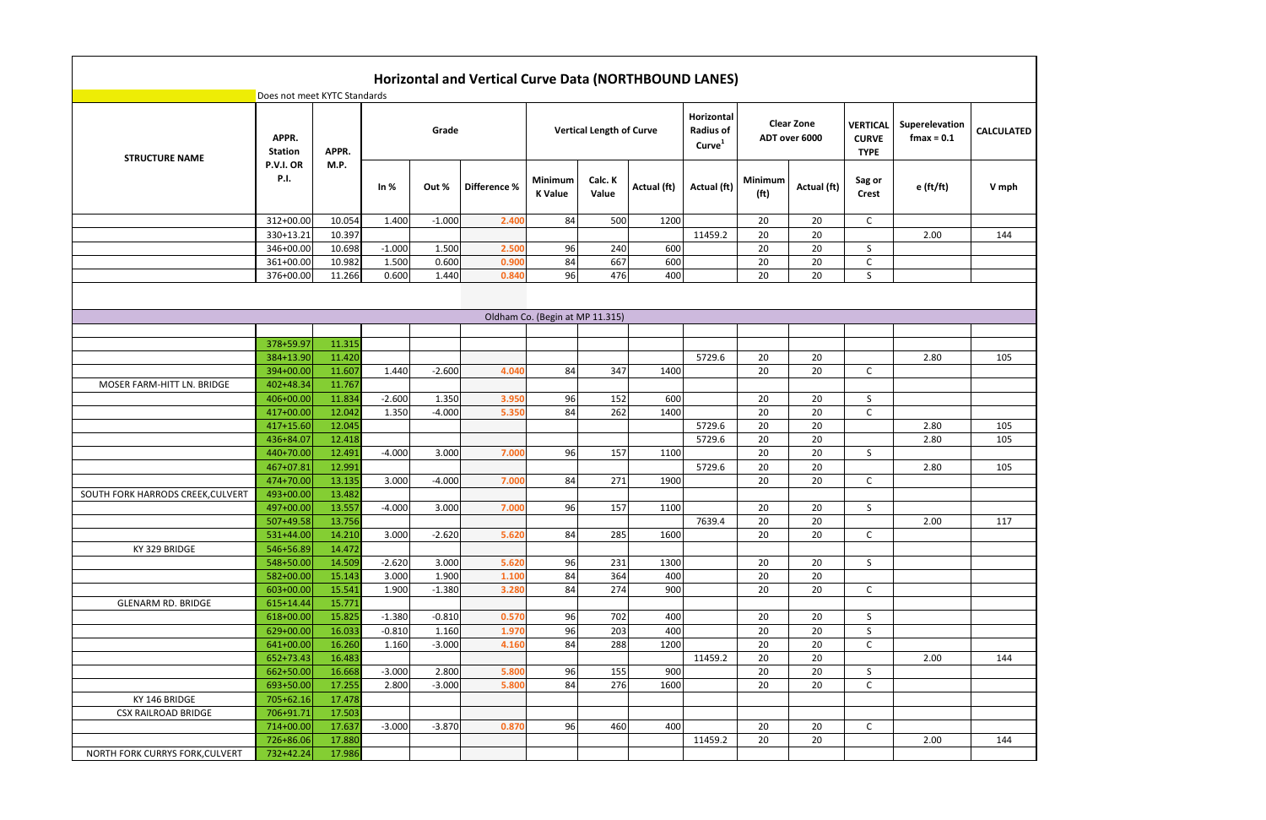|                                   |                              |        |          |          | Horizontal and Vertical Curve Data (NORTHBOUND LANES) |                                 |                                 |             |                                                      |                                     |                                    |                                                |                                 |                   |
|-----------------------------------|------------------------------|--------|----------|----------|-------------------------------------------------------|---------------------------------|---------------------------------|-------------|------------------------------------------------------|-------------------------------------|------------------------------------|------------------------------------------------|---------------------------------|-------------------|
|                                   | Does not meet KYTC Standards |        |          |          |                                                       |                                 |                                 |             |                                                      |                                     |                                    |                                                |                                 |                   |
| <b>STRUCTURE NAME</b>             | APPR.<br><b>Station</b>      | APPR.  |          | Grade    |                                                       |                                 | <b>Vertical Length of Curve</b> |             | Horizontal<br><b>Radius of</b><br>Curve <sup>1</sup> |                                     | <b>Clear Zone</b><br>ADT over 6000 | <b>VERTICAL</b><br><b>CURVE</b><br><b>TYPE</b> | Superelevation<br>$f$ max = 0.1 | <b>CALCULATED</b> |
|                                   | P.V.I. OR<br><b>P.I.</b>     | M.P.   | In $%$   | Out %    | Difference %                                          | Minimum<br><b>K</b> Value       | Calc. K<br>Value                | Actual (ft) | Actual (ft)                                          | <b>Minimum</b><br>(f <sup>t</sup> ) | Actual (ft)                        | Sag or<br><b>Crest</b>                         | e (ft/ft)                       | V mph             |
|                                   | 312+00.00                    | 10.054 | 1.400    | $-1.000$ | 2.400                                                 | 84                              | 500                             | 1200        |                                                      | 20                                  | 20                                 | $\mathsf{C}$                                   |                                 |                   |
|                                   | 330+13.21                    | 10.397 |          |          |                                                       |                                 |                                 |             | 11459.2                                              | 20                                  | 20                                 |                                                | 2.00                            | 144               |
|                                   | 346+00.00                    | 10.698 | $-1.000$ | 1.500    | 2.500                                                 | 96                              | 240                             | 600         |                                                      | 20                                  | 20                                 | S                                              |                                 |                   |
|                                   | 361+00.00                    | 10.982 | 1.500    | 0.600    | 0.900                                                 | 84                              | 667                             | 600         |                                                      | 20                                  | 20                                 | C                                              |                                 |                   |
|                                   | 376+00.00                    | 11.266 | 0.600    | 1.440    | 0.840                                                 | 96                              | 476                             | 400         |                                                      | 20                                  | 20                                 | S                                              |                                 |                   |
|                                   |                              |        |          |          |                                                       |                                 |                                 |             |                                                      |                                     |                                    |                                                |                                 |                   |
|                                   |                              |        |          |          |                                                       | Oldham Co. (Begin at MP 11.315) |                                 |             |                                                      |                                     |                                    |                                                |                                 |                   |
|                                   |                              |        |          |          |                                                       |                                 |                                 |             |                                                      |                                     |                                    |                                                |                                 |                   |
|                                   | 378+59.97                    | 11.315 |          |          |                                                       |                                 |                                 |             |                                                      |                                     |                                    |                                                |                                 |                   |
|                                   | 384+13.90                    | 11.420 |          |          |                                                       |                                 |                                 |             | 5729.6                                               | 20                                  | 20                                 |                                                | 2.80                            | 105               |
|                                   | 394+00.00                    | 11.607 | 1.440    | $-2.600$ | 4.040                                                 | 84                              | 347                             | 1400        |                                                      | 20                                  | 20                                 | C                                              |                                 |                   |
| MOSER FARM-HITT LN. BRIDGE        | 402+48.34                    | 11.767 |          |          |                                                       |                                 |                                 |             |                                                      |                                     |                                    |                                                |                                 |                   |
|                                   | 406+00.00                    | 11.834 | $-2.600$ | 1.350    | 3.950                                                 | 96                              | 152                             | 600         |                                                      | 20                                  | 20                                 | S                                              |                                 |                   |
|                                   | 417+00.00                    | 12.042 | 1.350    | $-4.000$ | 5.350                                                 | 84                              | 262                             | 1400        |                                                      | 20                                  | 20                                 | C                                              |                                 |                   |
|                                   | 417+15.60                    | 12.045 |          |          |                                                       |                                 |                                 |             | 5729.6                                               | 20                                  | 20                                 |                                                | 2.80                            | 105               |
|                                   | 436+84.07                    | 12.418 |          |          |                                                       |                                 |                                 |             | 5729.6                                               | 20                                  | 20                                 |                                                | 2.80                            | 105               |
|                                   | 440+70.00                    | 12.491 | $-4.000$ | 3.000    | 7.000                                                 | 96                              | 157                             | 1100        |                                                      | 20                                  | 20                                 | S                                              |                                 |                   |
|                                   | 467+07.81                    | 12.991 |          |          |                                                       |                                 |                                 |             | 5729.6                                               | 20                                  | 20                                 |                                                | 2.80                            | 105               |
|                                   | 474+70.00                    | 13.135 | 3.000    | $-4.000$ | 7.000                                                 | 84                              | 271                             | 1900        |                                                      | 20                                  | 20                                 | C                                              |                                 |                   |
| SOUTH FORK HARRODS CREEK, CULVERT | 493+00.00                    | 13.482 |          |          |                                                       |                                 |                                 |             |                                                      |                                     |                                    |                                                |                                 |                   |
|                                   | 497+00.00                    | 13.557 | $-4.000$ | 3.000    | 7.000                                                 | 96                              | 157                             | 1100        |                                                      | 20                                  | 20                                 | S                                              |                                 |                   |
|                                   | 507+49.58                    | 13.756 |          |          |                                                       |                                 |                                 |             | 7639.4                                               | 20                                  | 20                                 |                                                | 2.00                            | 117               |
|                                   | 531+44.00                    | 14.210 | 3.000    | $-2.620$ | 5.620                                                 | 84                              | 285                             | 1600        |                                                      | 20                                  | 20                                 | $\mathsf{C}$                                   |                                 |                   |
| KY 329 BRIDGE                     | 546+56.89                    | 14.472 |          |          |                                                       |                                 |                                 |             |                                                      |                                     |                                    |                                                |                                 |                   |
|                                   | 548+50.00                    | 14.509 | $-2.620$ | 3.000    | 5.620                                                 | 96                              | 231                             | 1300        |                                                      | 20                                  | 20                                 | S                                              |                                 |                   |
|                                   | 582+00.00                    | 15.143 | 3.000    | 1.900    | 1.100                                                 | 84                              | 364                             | 400         |                                                      | 20                                  | 20                                 |                                                |                                 |                   |
|                                   | 603+00.00                    | 15.541 | 1.900    | $-1.380$ | 3.280                                                 | 84                              | 274                             | 900         |                                                      | 20                                  | 20                                 | $\mathsf{C}$                                   |                                 |                   |
| <b>GLENARM RD. BRIDGE</b>         | $615+14.44$                  | 15.771 |          |          |                                                       |                                 |                                 |             |                                                      |                                     |                                    |                                                |                                 |                   |
|                                   | 618+00.00                    | 15.825 | $-1.380$ | $-0.810$ | 0.570                                                 | 96                              | 702                             | 400         |                                                      | 20                                  | 20                                 | S                                              |                                 |                   |
|                                   | 629+00.00                    | 16.033 | $-0.810$ | 1.160    | 1.970                                                 | 96                              | 203                             | 400         |                                                      | 20                                  | 20                                 | S                                              |                                 |                   |
|                                   | 641+00.00                    | 16.260 | 1.160    | $-3.000$ | 4.160                                                 | 84                              | 288                             | 1200        |                                                      | 20                                  | 20                                 | C                                              |                                 |                   |
|                                   | 652+73.43                    | 16.483 |          |          |                                                       |                                 |                                 |             | 11459.2                                              | 20                                  | 20                                 |                                                | 2.00                            | 144               |
|                                   | 662+50.00                    | 16.668 | $-3.000$ | 2.800    | 5.800                                                 | 96                              | 155                             | 900         |                                                      | 20                                  | 20                                 | S                                              |                                 |                   |
|                                   | 693+50.00                    | 17.255 | 2.800    | $-3.000$ | 5.800                                                 | 84                              | 276                             | 1600        |                                                      | 20                                  | 20                                 | C                                              |                                 |                   |
| KY 146 BRIDGE                     | 705+62.16                    | 17.478 |          |          |                                                       |                                 |                                 |             |                                                      |                                     |                                    |                                                |                                 |                   |
| <b>CSX RAILROAD BRIDGE</b>        | 706+91.71                    | 17.503 |          |          |                                                       |                                 |                                 |             |                                                      |                                     |                                    |                                                |                                 |                   |
|                                   | 714+00.00                    | 17.637 | $-3.000$ | $-3.870$ | 0.870                                                 | 96                              | 460                             | 400         |                                                      | 20                                  | 20                                 | $\mathsf{C}$                                   |                                 |                   |
|                                   | 726+86.06                    | 17.880 |          |          |                                                       |                                 |                                 |             | 11459.2                                              | 20                                  | 20                                 |                                                | 2.00                            | 144               |
| NORTH FORK CURRYS FORK, CULVERT   | 732+42.24                    | 17.986 |          |          |                                                       |                                 |                                 |             |                                                      |                                     |                                    |                                                |                                 |                   |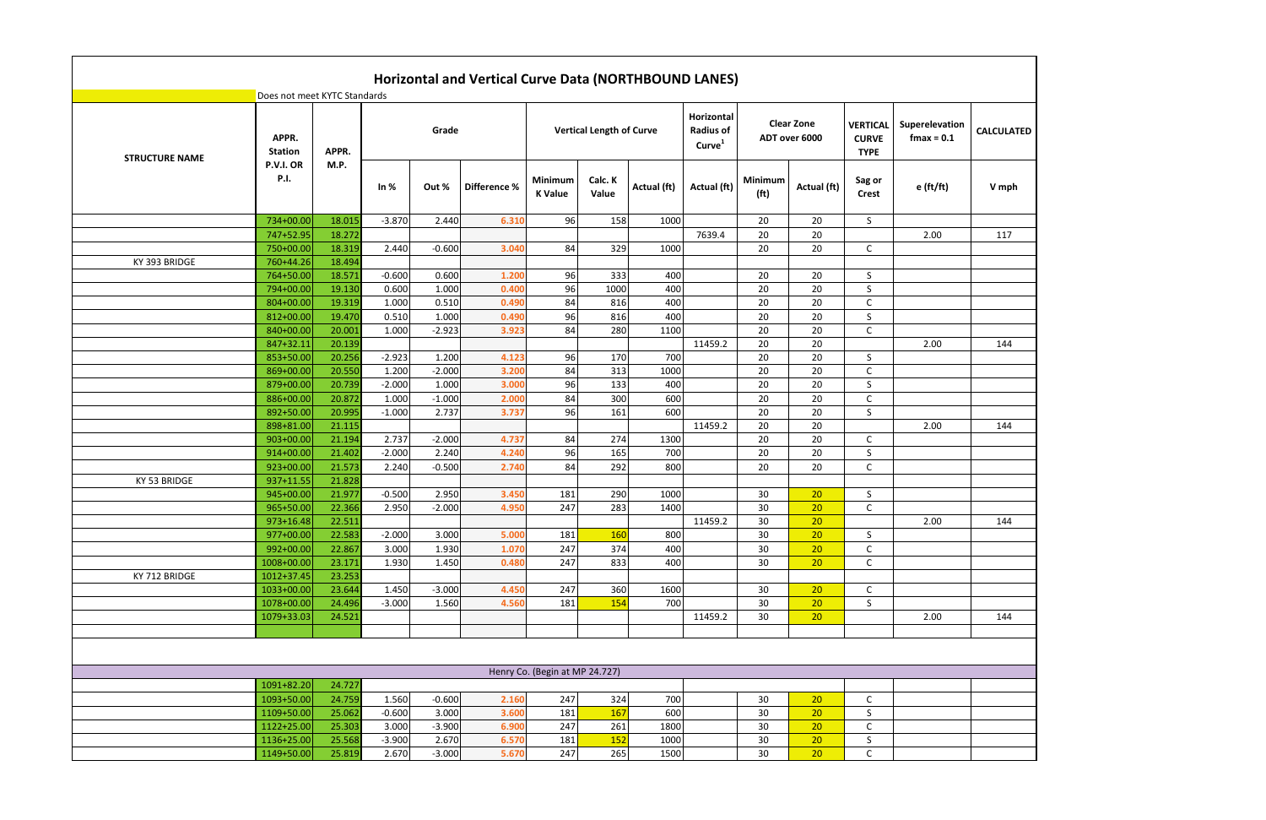|                       |                                            |               |          |          | Horizontal and Vertical Curve Data (NORTHBOUND LANES) |                                |                                 |             |                                                      |                                     |                                    |                                       |                                 |                   |
|-----------------------|--------------------------------------------|---------------|----------|----------|-------------------------------------------------------|--------------------------------|---------------------------------|-------------|------------------------------------------------------|-------------------------------------|------------------------------------|---------------------------------------|---------------------------------|-------------------|
|                       | Does not meet KYTC Standards<br>APPR.      |               |          | Grade    |                                                       |                                | <b>Vertical Length of Curve</b> |             | Horizontal<br><b>Radius of</b><br>Curve <sup>1</sup> |                                     | <b>Clear Zone</b><br>ADT over 6000 | <b>VERTICAL</b><br><b>CURVE</b>       | Superelevation<br>$f$ max = 0.1 | <b>CALCULATED</b> |
| <b>STRUCTURE NAME</b> | <b>Station</b><br>P.V.I. OR<br><b>P.I.</b> | APPR.<br>M.P. | In $%$   | Out %    | Difference %                                          | Minimum<br><b>K</b> Value      | Calc. K<br>Value                | Actual (ft) | Actual (ft)                                          | <b>Minimum</b><br>(f <sup>t</sup> ) | Actual (ft)                        | <b>TYPE</b><br>Sag or<br><b>Crest</b> | $e$ (ft/ft)                     | V mph             |
|                       | 734+00.00                                  | 18.015        | $-3.870$ | 2.440    | 6.310                                                 | 96                             | 158                             | 1000        |                                                      | 20                                  | 20                                 | S                                     |                                 |                   |
|                       | 747+52.95                                  | 18.272        |          |          |                                                       |                                |                                 |             | 7639.4                                               | 20                                  | 20                                 |                                       | 2.00                            | 117               |
|                       | 750+00.00                                  | 18.319        | 2.440    | $-0.600$ | 3.040                                                 | 84                             | 329                             | 1000        |                                                      | 20                                  | 20                                 | C                                     |                                 |                   |
| KY 393 BRIDGE         | 760+44.26                                  | 18.494        |          |          |                                                       |                                |                                 |             |                                                      |                                     |                                    |                                       |                                 |                   |
|                       | 764+50.00                                  | 18.571        | $-0.600$ | 0.600    | 1.200                                                 | 96                             | 333                             | 400         |                                                      | 20                                  | 20                                 | S                                     |                                 |                   |
|                       | 794+00.00                                  | 19.130        | 0.600    | 1.000    | 0.400                                                 | 96                             | 1000                            | 400         |                                                      | 20                                  | 20                                 | S                                     |                                 |                   |
|                       | 804+00.00                                  | 19.319        | 1.000    | 0.510    | 0.490                                                 | 84                             | 816                             | 400         |                                                      | 20                                  | 20                                 | C                                     |                                 |                   |
|                       | 812+00.00                                  | 19.470        | 0.510    | 1.000    | 0.490                                                 | 96                             | 816                             | 400         |                                                      | 20                                  | 20                                 | S                                     |                                 |                   |
|                       | 840+00.00                                  | 20.001        | 1.000    | $-2.923$ | 3.923                                                 | 84                             | 280                             | 1100        |                                                      | 20                                  | 20                                 | C                                     |                                 |                   |
|                       | 847+32.11                                  | 20.139        |          |          |                                                       |                                |                                 |             | 11459.2                                              | 20                                  | 20                                 |                                       | 2.00                            | 144               |
|                       | 853+50.00                                  | 20.256        | $-2.923$ | 1.200    | 4.123                                                 | 96                             | 170                             | 700         |                                                      | 20                                  | 20                                 | S                                     |                                 |                   |
|                       | 869+00.00                                  | 20.550        | 1.200    | $-2.000$ | 3.200                                                 | 84                             | 313                             | 1000        |                                                      | 20                                  | 20                                 | C                                     |                                 |                   |
|                       | 879+00.00                                  | 20.739        | $-2.000$ | 1.000    | 3.000                                                 | 96                             | 133                             | 400         |                                                      | 20                                  | 20                                 | S.                                    |                                 |                   |
|                       | 886+00.00                                  | 20.872        | 1.000    | $-1.000$ | 2.000                                                 | 84                             | 300                             | 600         |                                                      | 20                                  | 20                                 | C                                     |                                 |                   |
|                       | 892+50.00                                  | 20.995        | $-1.000$ | 2.737    | 3.737                                                 | 96                             | 161                             | 600         |                                                      | 20                                  | 20                                 | S                                     |                                 |                   |
|                       | 898+81.00                                  | 21.115        |          |          |                                                       |                                |                                 |             | 11459.2                                              | 20                                  | 20                                 |                                       | 2.00                            | 144               |
|                       | 903+00.00                                  | 21.194        | 2.737    | $-2.000$ | 4.737                                                 | 84                             | 274                             | 1300        |                                                      | 20                                  | 20                                 | C                                     |                                 |                   |
|                       | 914+00.00                                  | 21.402        | $-2.000$ | 2.240    | 4.240                                                 | 96                             | 165                             | 700         |                                                      | 20                                  | 20                                 | S                                     |                                 |                   |
|                       | 923+00.00                                  | 21.573        | 2.240    | $-0.500$ | 2.740                                                 | 84                             | 292                             | 800         |                                                      | 20                                  | 20                                 | C                                     |                                 |                   |
| KY 53 BRIDGE          | 937+11.55                                  | 21.828        |          |          |                                                       |                                |                                 |             |                                                      |                                     |                                    |                                       |                                 |                   |
|                       | 945+00.00                                  | 21.977        | $-0.500$ | 2.950    | 3.450                                                 | 181                            | 290                             | 1000        |                                                      | 30                                  | 20                                 | S                                     |                                 |                   |
|                       | 965+50.00                                  | 22.366        | 2.950    | $-2.000$ | 4.950                                                 | 247                            | 283                             | 1400        |                                                      | 30                                  | 20                                 | C                                     |                                 |                   |
|                       | $973+16.48$                                | 22.511        |          |          |                                                       |                                |                                 |             | 11459.2                                              | 30                                  | 20                                 |                                       | 2.00                            | 144               |
|                       | 977+00.00                                  | 22.583        | $-2.000$ | 3.000    | 5.000                                                 | 181                            | 160                             | 800         |                                                      | 30                                  | 20                                 | S                                     |                                 |                   |
|                       | 992+00.00                                  | 22.867        | 3.000    | 1.930    | 1.070                                                 | 247                            | 374                             | 400         |                                                      | 30                                  | 20                                 | C                                     |                                 |                   |
|                       | 1008+00.00                                 | 23.171        | 1.930    | 1.450    | 0.480                                                 | 247                            | 833                             | 400         |                                                      | 30                                  | 20                                 | $\mathsf{C}$                          |                                 |                   |
| KY 712 BRIDGE         | 1012+37.45                                 | 23.253        |          |          |                                                       |                                |                                 |             |                                                      |                                     |                                    |                                       |                                 |                   |
|                       | 1033+00.00                                 | 23.644        | 1.450    | $-3.000$ | 4.450                                                 | 247                            | 360                             | 1600        |                                                      | 30                                  | 20                                 | C                                     |                                 |                   |
|                       | 1078+00.00                                 | 24.496        | $-3.000$ | 1.560    | 4.560                                                 | 181                            | 154                             | 700         |                                                      | 30                                  | 20                                 | S                                     |                                 |                   |
|                       | 1079+33.03                                 | 24.521        |          |          |                                                       |                                |                                 |             | 11459.2                                              | 30                                  | 20                                 |                                       | 2.00                            | 144               |
|                       |                                            |               |          |          |                                                       |                                |                                 |             |                                                      |                                     |                                    |                                       |                                 |                   |
|                       |                                            |               |          |          |                                                       |                                |                                 |             |                                                      |                                     |                                    |                                       |                                 |                   |
|                       |                                            |               |          |          |                                                       | Henry Co. (Begin at MP 24.727) |                                 |             |                                                      |                                     |                                    |                                       |                                 |                   |
|                       | 1091+82.20                                 | 24.727        |          |          |                                                       |                                |                                 |             |                                                      |                                     |                                    |                                       |                                 |                   |
|                       | 1093+50.00                                 | 24.759        | 1.560    | $-0.600$ | 2.160                                                 | 247                            | 324                             | 700         |                                                      | 30                                  | 20                                 | $\mathsf C$                           |                                 |                   |
|                       | 1109+50.00                                 | 25.062        | $-0.600$ | 3.000    | 3.600                                                 | 181                            | 167                             | 600         |                                                      | 30                                  | 20                                 | S                                     |                                 |                   |
|                       | 1122+25.00                                 | 25.303        | 3.000    | $-3.900$ | 6.900                                                 | 247                            | 261                             | 1800        |                                                      | 30                                  | 20                                 | C                                     |                                 |                   |
|                       | 1136+25.00                                 | 25.568        | $-3.900$ | 2.670    | 6.570                                                 | 181                            | 152                             | 1000        |                                                      | 30                                  | 20                                 | S                                     |                                 |                   |
|                       | 1149+50.00                                 | 25.819        | 2.670    | $-3.000$ | 5.670                                                 | 247                            | 265                             | 1500        |                                                      | 30                                  | 20 <sup>°</sup>                    | $\mathsf{C}$                          |                                 |                   |
|                       |                                            |               |          |          |                                                       |                                |                                 |             |                                                      |                                     |                                    |                                       |                                 |                   |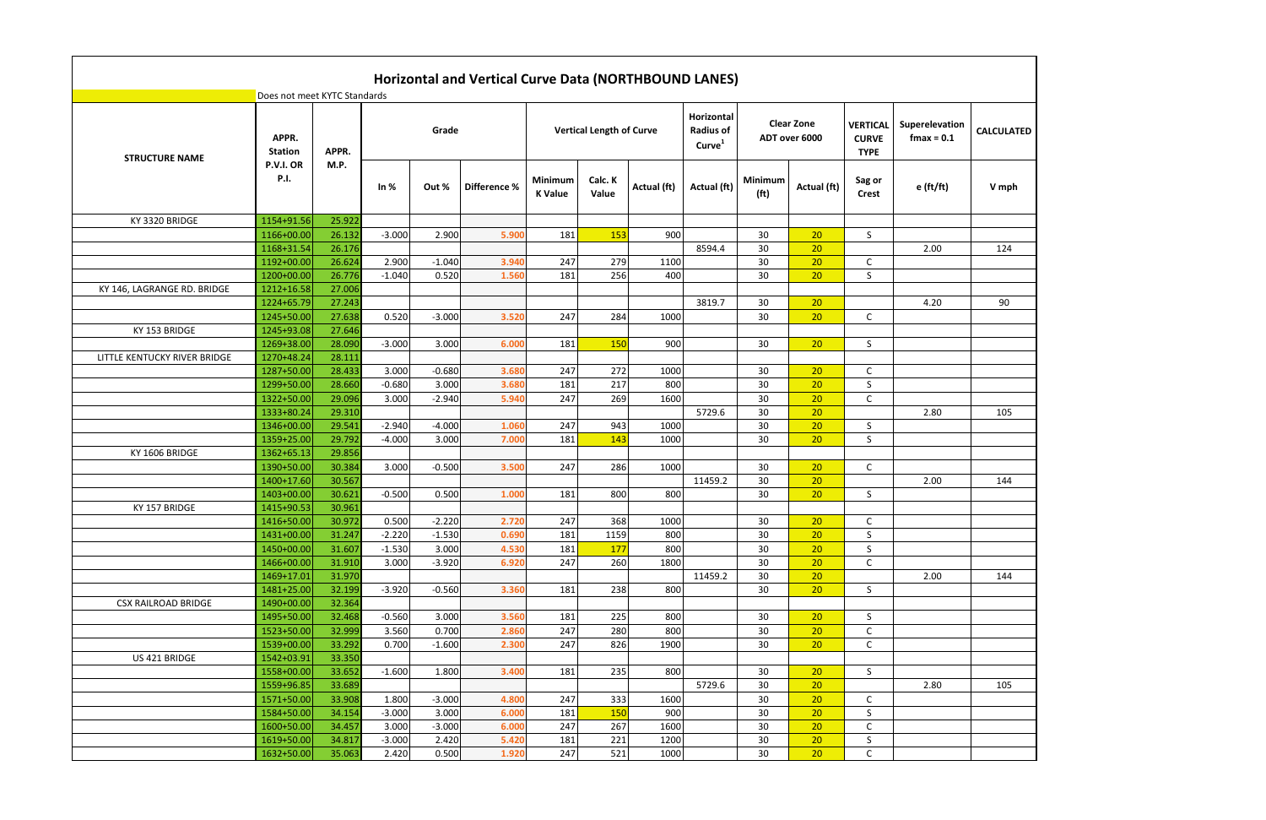|                              |                              |        |          |          | Horizontal and Vertical Curve Data (NORTHBOUND LANES) |                                  |                                 |             |                                                      |                                     |                                    |                                                |                                 |                   |
|------------------------------|------------------------------|--------|----------|----------|-------------------------------------------------------|----------------------------------|---------------------------------|-------------|------------------------------------------------------|-------------------------------------|------------------------------------|------------------------------------------------|---------------------------------|-------------------|
|                              | Does not meet KYTC Standards |        |          |          |                                                       |                                  |                                 |             |                                                      |                                     |                                    |                                                |                                 |                   |
| <b>STRUCTURE NAME</b>        | APPR.<br><b>Station</b>      | APPR.  |          | Grade    |                                                       |                                  | <b>Vertical Length of Curve</b> |             | Horizontal<br><b>Radius of</b><br>Curve <sup>1</sup> |                                     | <b>Clear Zone</b><br>ADT over 6000 | <b>VERTICAL</b><br><b>CURVE</b><br><b>TYPE</b> | Superelevation<br>$f$ max = 0.1 | <b>CALCULATED</b> |
|                              | P.V.I. OR<br><b>P.I.</b>     | M.P.   | In $%$   | Out %    | Difference %                                          | <b>Minimum</b><br><b>K</b> Value | Calc. K<br>Value                | Actual (ft) | Actual (ft)                                          | <b>Minimum</b><br>(f <sup>t</sup> ) | Actual (ft)                        | Sag or<br><b>Crest</b>                         | $e$ (ft/ft)                     | V mph             |
| KY 3320 BRIDGE               | 1154+91.56                   | 25.922 |          |          |                                                       |                                  |                                 |             |                                                      |                                     |                                    |                                                |                                 |                   |
|                              | 1166+00.00                   | 26.132 | $-3.000$ | 2.900    | 5.900                                                 | 181                              | 153                             | 900         |                                                      | 30                                  | 20                                 | S                                              |                                 |                   |
|                              | 1168+31.54                   | 26.176 |          |          |                                                       |                                  |                                 |             | 8594.4                                               | 30                                  | 20                                 |                                                | 2.00                            | 124               |
|                              | 1192+00.00                   | 26.624 | 2.900    | $-1.040$ | 3.940                                                 | 247                              | 279                             | 1100        |                                                      | 30                                  | 20                                 | C                                              |                                 |                   |
|                              | 1200+00.00                   | 26.776 | $-1.040$ | 0.520    | 1.560                                                 | 181                              | 256                             | 400         |                                                      | 30                                  | 20                                 | S                                              |                                 |                   |
| KY 146, LAGRANGE RD. BRIDGE  | 1212+16.58                   | 27.006 |          |          |                                                       |                                  |                                 |             |                                                      |                                     |                                    |                                                |                                 |                   |
|                              | 1224+65.79                   | 27.243 |          |          |                                                       |                                  |                                 |             | 3819.7                                               | 30                                  | 20                                 |                                                | 4.20                            | 90                |
|                              | 1245+50.00                   | 27.638 | 0.520    | $-3.000$ | 3.520                                                 | 247                              | 284                             | 1000        |                                                      | 30                                  | 20                                 | $\mathsf{C}$                                   |                                 |                   |
| KY 153 BRIDGE                | 1245+93.08                   | 27.646 |          |          |                                                       |                                  |                                 |             |                                                      |                                     |                                    |                                                |                                 |                   |
|                              | 1269+38.00                   | 28.090 | $-3.000$ | 3.000    | 6.000                                                 | 181                              | 150                             | 900         |                                                      | 30                                  | 20                                 | S                                              |                                 |                   |
| LITTLE KENTUCKY RIVER BRIDGE | 1270+48.24                   | 28.111 |          |          |                                                       |                                  |                                 |             |                                                      |                                     |                                    |                                                |                                 |                   |
|                              | 1287+50.00                   | 28.433 | 3.000    | $-0.680$ | 3.680                                                 | 247                              | 272                             | 1000        |                                                      | 30                                  | 20                                 | C                                              |                                 |                   |
|                              | 1299+50.00                   | 28.660 | $-0.680$ | 3.000    | 3.680                                                 | 181                              | 217                             | 800         |                                                      | 30                                  | 20                                 | S                                              |                                 |                   |
|                              | 1322+50.00                   | 29.096 | 3.000    | $-2.940$ | 5.940                                                 | 247                              | 269                             | 1600        |                                                      | 30                                  | 20                                 | C                                              |                                 |                   |
|                              | 1333+80.24                   | 29.310 |          |          |                                                       |                                  |                                 |             | 5729.6                                               | 30                                  | 20                                 |                                                | 2.80                            | 105               |
|                              | 1346+00.00                   | 29.541 | $-2.940$ | $-4.000$ | 1.060                                                 | 247                              | 943                             | 1000        |                                                      | 30                                  | 20                                 | S                                              |                                 |                   |
|                              | 1359+25.00                   | 29.792 | $-4.000$ | 3.000    | 7.000                                                 | 181                              | 143                             | 1000        |                                                      | 30                                  | 20                                 | S                                              |                                 |                   |
| KY 1606 BRIDGE               | 1362+65.13                   | 29.856 |          |          |                                                       |                                  |                                 |             |                                                      |                                     |                                    |                                                |                                 |                   |
|                              | 1390+50.00                   | 30.384 | 3.000    | $-0.500$ | 3.500                                                 | 247                              | 286                             | 1000        |                                                      | 30                                  | 20                                 | C                                              |                                 |                   |
|                              | 1400+17.60                   | 30.567 |          |          |                                                       |                                  |                                 |             | 11459.2                                              | 30                                  | 20                                 |                                                | 2.00                            | 144               |
|                              | 1403+00.00                   | 30.621 | $-0.500$ | 0.500    | 1.000                                                 | 181                              | 800                             | 800         |                                                      | 30                                  | 20                                 | S                                              |                                 |                   |
| KY 157 BRIDGE                | 1415+90.53                   | 30.961 |          |          |                                                       |                                  |                                 |             |                                                      |                                     |                                    |                                                |                                 |                   |
|                              | 1416+50.00                   | 30.972 | 0.500    | $-2.220$ | 2.720                                                 | 247                              | 368                             | 1000        |                                                      | 30                                  | 20 <sub>2</sub>                    | $\mathsf{C}$                                   |                                 |                   |
|                              | 1431+00.00                   | 31.247 | $-2.220$ | $-1.530$ | 0.690                                                 | 181                              | 1159                            | 800         |                                                      | 30                                  | 20                                 | S                                              |                                 |                   |
|                              | 1450+00.00                   | 31.607 | $-1.530$ | 3.000    | 4.530                                                 | 181                              | 177                             | 800         |                                                      | 30                                  | 20                                 | S                                              |                                 |                   |
|                              | 1466+00.00                   | 31.910 | 3.000    | $-3.920$ | 6.920                                                 | 247                              | 260                             | 1800        |                                                      | 30                                  | 20                                 | $\mathsf C$                                    |                                 |                   |
|                              | 1469+17.01                   | 31.970 |          |          |                                                       |                                  |                                 |             | 11459.2                                              | 30                                  | 20                                 |                                                | 2.00                            | 144               |
|                              | 1481+25.00                   | 32.199 | $-3.920$ | $-0.560$ | 3.360                                                 | 181                              | 238                             | 800         |                                                      | 30                                  | 20                                 | S                                              |                                 |                   |
| <b>CSX RAILROAD BRIDGE</b>   | 1490+00.00                   | 32.364 |          |          |                                                       |                                  |                                 |             |                                                      |                                     |                                    |                                                |                                 |                   |
|                              | 1495+50.00                   | 32.468 | $-0.560$ | 3.000    | 3.560                                                 | 181                              | 225                             | 800         |                                                      | 30                                  | 20                                 | S                                              |                                 |                   |
|                              | 1523+50.00                   | 32.999 | 3.560    | 0.700    | 2.860                                                 | 247                              | 280                             | 800         |                                                      | 30                                  | 20                                 | C                                              |                                 |                   |
|                              | 1539+00.00                   | 33.292 | 0.700    | $-1.600$ | 2.300                                                 | 247                              | 826                             | 1900        |                                                      | 30                                  | 20                                 | C                                              |                                 |                   |
| US 421 BRIDGE                | 1542+03.91                   | 33.350 |          |          |                                                       |                                  |                                 |             |                                                      |                                     |                                    |                                                |                                 |                   |
|                              | 1558+00.00                   | 33.652 | $-1.600$ | 1.800    | 3.400                                                 | 181                              | 235                             | 800         |                                                      | 30                                  | 20                                 | S                                              |                                 |                   |
|                              | 1559+96.85                   | 33.689 |          |          |                                                       |                                  |                                 |             | 5729.6                                               | 30                                  | 20                                 |                                                | 2.80                            | 105               |
|                              | 1571+50.00                   | 33.908 | 1.800    | $-3.000$ | 4.800                                                 | 247                              | 333                             | 1600        |                                                      | 30                                  | 20                                 | C                                              |                                 |                   |
|                              | 1584+50.00                   | 34.154 | $-3.000$ | 3.000    | 6.000                                                 | 181                              | 150                             | 900         |                                                      | 30                                  | 20                                 | S                                              |                                 |                   |
|                              | 1600+50.00                   | 34.457 | 3.000    | $-3.000$ | 6.000                                                 | 247                              | 267                             | 1600        |                                                      | 30                                  | 20                                 | C                                              |                                 |                   |
|                              | 1619+50.00                   | 34.817 | $-3.000$ | 2.420    | 5.420                                                 | 181                              | 221                             | 1200        |                                                      | 30                                  | 20                                 | S                                              |                                 |                   |
|                              | 1632+50.00                   | 35.063 | 2.420    | 0.500    | 1.920                                                 | 247                              | 521                             | 1000        |                                                      | 30                                  | 20                                 | C                                              |                                 |                   |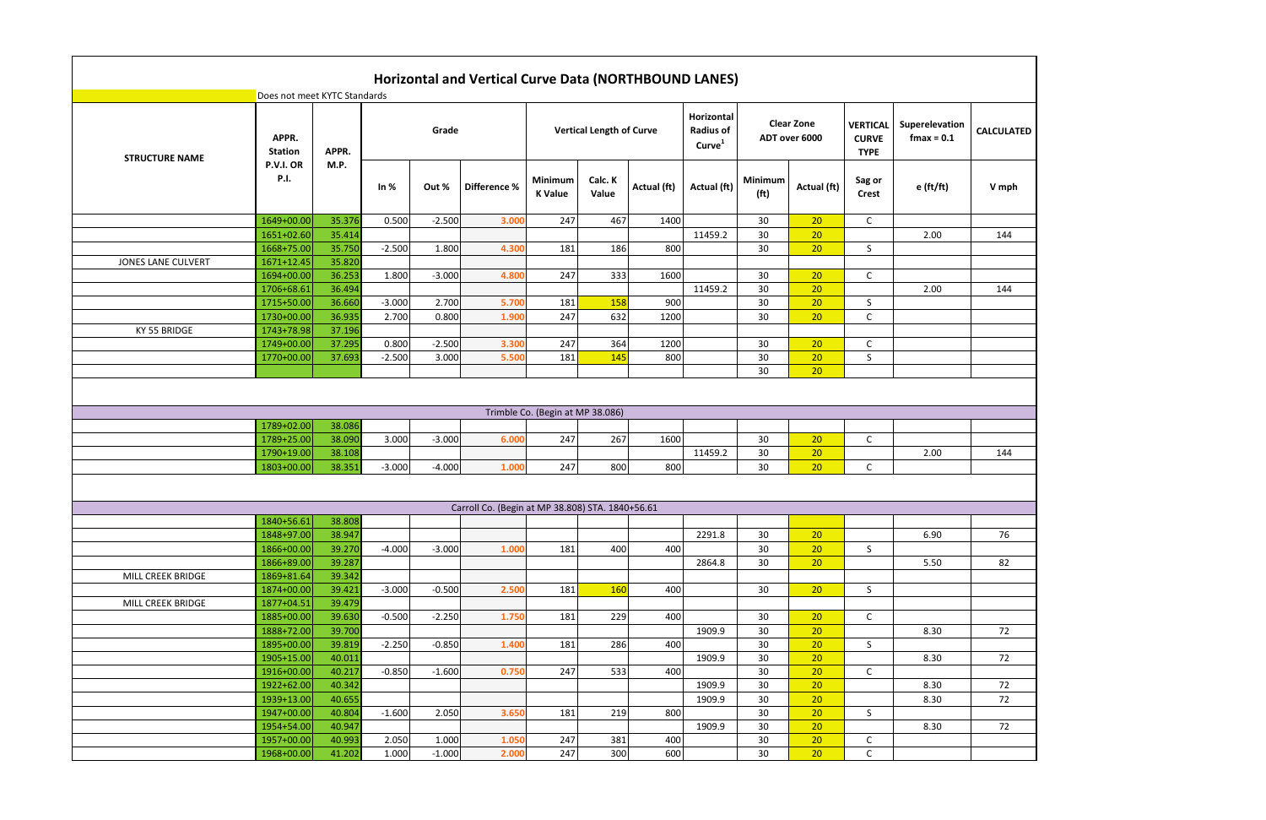| <b>RTICAL</b><br><b>CURVE</b><br><b>TYPE</b> | Superelevation<br>$f$ max = $0.1$ | <b>CALCULATED</b> |
|----------------------------------------------|-----------------------------------|-------------------|
| Sag or<br><b>Crest</b>                       | $e$ (ft/ft)                       | V mph             |
| C                                            |                                   |                   |
| S                                            | 2.00                              | 144               |
|                                              |                                   |                   |
| C                                            |                                   |                   |
|                                              | 2.00                              | 144               |
| $rac{S}{C}$                                  |                                   |                   |
|                                              |                                   |                   |
| $\mathsf{C}$                                 |                                   |                   |
| $\overline{\mathsf{s}}$                      |                                   |                   |
|                                              |                                   |                   |
|                                              |                                   |                   |
|                                              |                                   |                   |
|                                              |                                   |                   |
| C                                            |                                   |                   |
|                                              | 2.00                              | 144               |
| C                                            |                                   |                   |
|                                              |                                   |                   |
|                                              |                                   |                   |
|                                              |                                   |                   |
| S                                            | 6.90                              | 76                |
|                                              | 5.50                              | 82                |
|                                              |                                   |                   |
| S                                            |                                   |                   |
|                                              |                                   |                   |
| $\overline{c}$                               |                                   |                   |
| S                                            | 8.30                              | 72                |
|                                              | 8.30                              | 72                |
| C                                            |                                   |                   |
|                                              | 8.30                              | 72                |
|                                              | 8.30                              | 72                |
| S                                            |                                   |                   |
|                                              | 8.30                              | 72                |
| $\overline{C}$<br>$\overline{\mathsf{c}}$    |                                   |                   |
|                                              |                                   |                   |

|                           | Does not meet KYTC Standards |                  |          |          | Horizontal and Vertical Curve Data (NORTHBOUND LANES) |                                  |                                 |             |                                                      |                              |                                    |                                                |                                 |                |
|---------------------------|------------------------------|------------------|----------|----------|-------------------------------------------------------|----------------------------------|---------------------------------|-------------|------------------------------------------------------|------------------------------|------------------------------------|------------------------------------------------|---------------------------------|----------------|
| <b>STRUCTURE NAME</b>     | APPR.<br><b>Station</b>      | APPR.            |          | Grade    |                                                       |                                  | <b>Vertical Length of Curve</b> |             | Horizontal<br><b>Radius of</b><br>Curve <sup>1</sup> |                              | <b>Clear Zone</b><br>ADT over 6000 | <b>VERTICAL</b><br><b>CURVE</b><br><b>TYPE</b> | Superelevation<br>$f$ max = 0.1 | <b>CALCULA</b> |
|                           | P.V.I. OR<br><b>P.I.</b>     | M.P.             | In $%$   | Out %    | Difference %                                          | Minimum<br><b>K</b> Value        | Calc. K<br>Value                | Actual (ft) | Actual (ft)                                          | Minimum<br>(f <sup>t</sup> ) | Actual (ft)                        | Sag or<br><b>Crest</b>                         | e (ft/ft)                       | V mp           |
|                           | 1649+00.00                   | 35.376           | 0.500    | $-2.500$ | 3.000                                                 | 247                              | 467                             | 1400        |                                                      | 30                           | 20                                 | $\mathsf{C}$                                   |                                 |                |
|                           | 1651+02.60                   | 35.414           |          |          |                                                       |                                  |                                 |             | 11459.2                                              | 30                           | 20                                 |                                                | 2.00                            | 144            |
|                           | 1668+75.00                   | 35.750           | $-2.500$ | 1.800    | 4.300                                                 | 181                              | 186                             | 800         |                                                      | 30                           | 20                                 | S                                              |                                 |                |
| <b>JONES LANE CULVERT</b> | 1671+12.45                   | 35.820           |          |          |                                                       |                                  |                                 |             |                                                      |                              |                                    |                                                |                                 |                |
|                           | 1694+00.00                   | 36.253           | 1.800    | $-3.000$ | 4.800                                                 | 247                              | 333                             | 1600        |                                                      | 30                           | 20                                 | $\mathsf C$                                    |                                 |                |
|                           | 1706+68.61                   | 36.494           |          |          |                                                       |                                  |                                 |             | 11459.2                                              | 30                           | 20                                 |                                                | 2.00                            | 144            |
|                           | 1715+50.00                   | 36.660           | $-3.000$ | 2.700    | 5.700                                                 | 181                              | 158                             | 900         |                                                      | 30                           | 20                                 | S                                              |                                 |                |
|                           | 1730+00.00                   | 36.935           | 2.700    | 0.800    | 1.900                                                 | 247                              | 632                             | 1200        |                                                      | 30                           | 20                                 | C                                              |                                 |                |
| KY 55 BRIDGE              | 1743+78.98                   | 37.196           |          |          |                                                       |                                  |                                 |             |                                                      |                              |                                    |                                                |                                 |                |
|                           | 1749+00.00                   | 37.295           | 0.800    | $-2.500$ | 3.300                                                 | 247                              | 364                             | 1200        |                                                      | 30                           | 20                                 | C                                              |                                 |                |
|                           | 1770+00.00                   | 37.693           | $-2.500$ | 3.000    | 5.500                                                 | 181                              | 145                             | 800         |                                                      | 30                           | 20                                 | S                                              |                                 |                |
|                           |                              |                  |          |          |                                                       |                                  |                                 |             |                                                      | 30                           | 20                                 |                                                |                                 |                |
|                           | 1789+02.00                   | 38.086           |          |          |                                                       | Trimble Co. (Begin at MP 38.086) |                                 |             |                                                      |                              |                                    |                                                |                                 |                |
|                           | 1789+25.00                   | 38.090           | 3.000    | $-3.000$ | 6.000                                                 | 247                              | 267                             | 1600        |                                                      | 30                           | 20                                 | C                                              |                                 |                |
|                           | 1790+19.00<br>1803+00.00     | 38.108<br>38.351 | $-3.000$ | $-4.000$ | 1.000                                                 | 247                              | 800                             | 800         | 11459.2                                              | 30<br>30                     | 20<br>20                           | $\mathsf{C}$                                   | 2.00                            | 144            |
|                           |                              |                  |          |          | Carroll Co. (Begin at MP 38.808) STA. 1840+56.61      |                                  |                                 |             |                                                      |                              |                                    |                                                |                                 |                |
|                           | $1840+56.61$                 | 38.808           |          |          |                                                       |                                  |                                 |             |                                                      |                              |                                    |                                                |                                 |                |
|                           | 1848+97.00                   | 38.947           |          |          |                                                       |                                  |                                 |             | 2291.8                                               | 30                           | 20                                 |                                                | 6.90                            | 76             |
|                           | 1866+00.00                   | 39.270           | $-4.000$ | $-3.000$ | 1.000                                                 | 181                              | 400                             | 400         |                                                      | 30                           | 20                                 | S                                              |                                 |                |
|                           | 1866+89.00                   | 39.287           |          |          |                                                       |                                  |                                 |             | 2864.8                                               | 30                           | 20                                 |                                                | 5.50                            | 82             |
| MILL CREEK BRIDGE         | 1869+81.64                   | 39.342           |          |          |                                                       |                                  |                                 |             |                                                      |                              |                                    |                                                |                                 |                |
|                           | 1874+00.00                   | 39.421           | $-3.000$ | $-0.500$ | 2.500                                                 | 181                              | 160                             | 400         |                                                      | 30                           | 20                                 | S                                              |                                 |                |
| MILL CREEK BRIDGE         | 1877+04.51                   | 39.479           |          |          |                                                       |                                  |                                 |             |                                                      |                              |                                    |                                                |                                 |                |
|                           | 1885+00.00                   | 39.630           | $-0.500$ | $-2.250$ | 1.750                                                 | 181                              | 229                             | 400         |                                                      | 30                           | 20                                 | $\mathsf{C}$                                   |                                 |                |
|                           | 1888+72.00                   | 39.700           |          |          |                                                       |                                  |                                 |             | 1909.9                                               | 30                           | 20                                 |                                                | 8.30                            | 72             |
|                           | 1895+00.00                   | 39.819           | $-2.250$ | $-0.850$ | 1.400                                                 | 181                              | 286                             | 400         |                                                      | 30                           | 20                                 | S.                                             |                                 |                |
|                           | 1905+15.00                   | 40.011           |          |          |                                                       |                                  |                                 |             | 1909.9                                               | 30                           | 20                                 |                                                | 8.30                            | 72             |
|                           | 1916+00.00                   | 40.217           | $-0.850$ | $-1.600$ | 0.750                                                 | 247                              | 533                             | 400         |                                                      | 30                           | 20                                 | $\mathsf{C}$                                   |                                 |                |
|                           | 1922+62.00                   | 40.342           |          |          |                                                       |                                  |                                 |             | 1909.9                                               | 30                           | 20                                 |                                                | 8.30                            | 72             |
|                           | 1939+13.00                   | 40.655           |          |          |                                                       |                                  |                                 |             | 1909.9                                               | 30                           | 20                                 |                                                | 8.30                            | 72             |
|                           | 1947+00.00                   | 40.804           | $-1.600$ | 2.050    | 3.650                                                 | 181                              | 219                             | 800         |                                                      | 30                           | 20                                 | S                                              |                                 |                |
|                           | 1954+54.00                   | 40.947           |          |          |                                                       |                                  |                                 |             | 1909.9                                               | 30                           | 20                                 |                                                | 8.30                            | 72             |
|                           | 1957+00.00                   | 40.993           | 2.050    | 1.000    | 1.050                                                 | 247                              | 381                             | 400         |                                                      | 30                           | 20                                 | $\mathsf{C}$                                   |                                 |                |
|                           | 1968+00.00                   | 41.202           | 1.000    | $-1.000$ | 2.000                                                 | 247                              | 300                             | 600         |                                                      | 30                           | 20                                 | C                                              |                                 |                |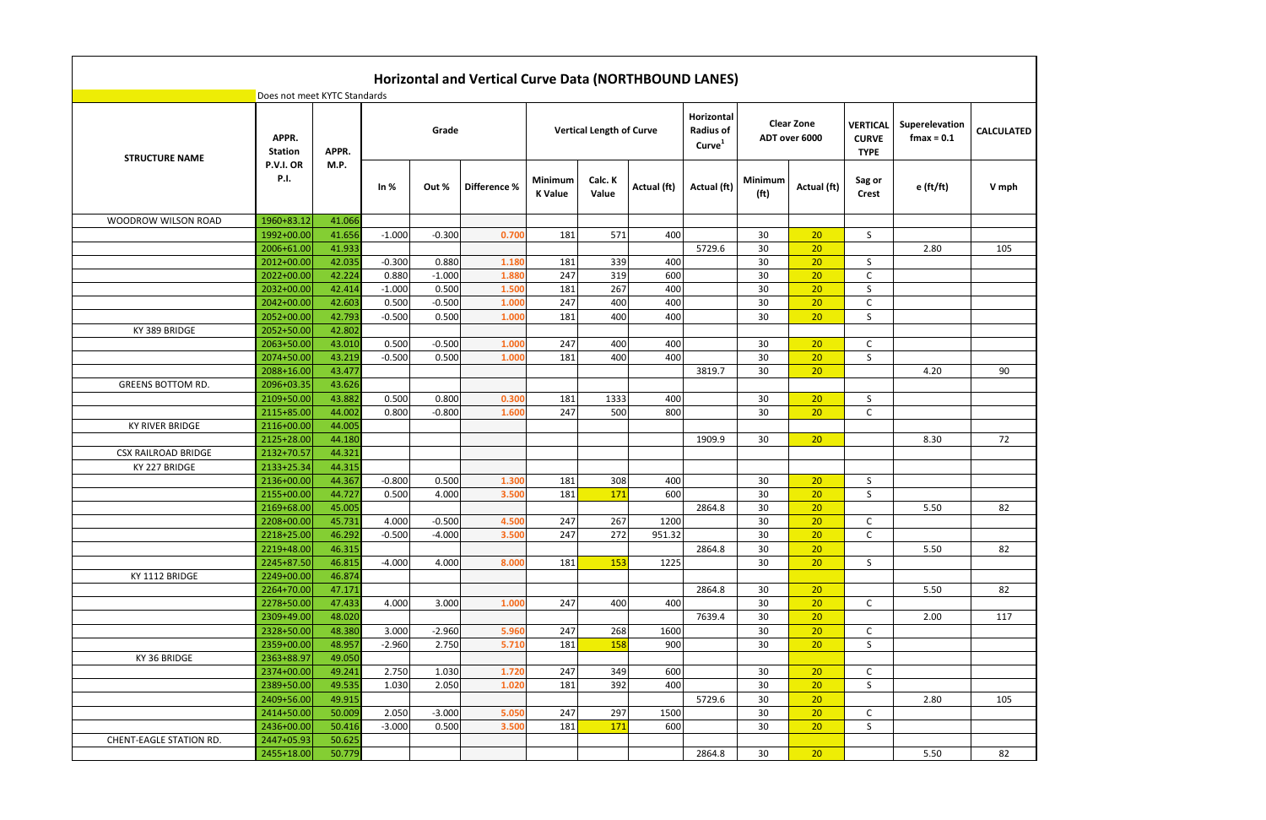|                            | Does not meet KYTC Standards |        |          |          | Horizontal and Vertical Curve Data (NORTHBOUND LANES) |                           |                                 |             |                                                      |                              |                                    |                                                |                                 |                   |
|----------------------------|------------------------------|--------|----------|----------|-------------------------------------------------------|---------------------------|---------------------------------|-------------|------------------------------------------------------|------------------------------|------------------------------------|------------------------------------------------|---------------------------------|-------------------|
| <b>STRUCTURE NAME</b>      | APPR.<br><b>Station</b>      | APPR.  |          | Grade    |                                                       |                           | <b>Vertical Length of Curve</b> |             | Horizontal<br><b>Radius of</b><br>Curve <sup>1</sup> |                              | <b>Clear Zone</b><br>ADT over 6000 | <b>VERTICAL</b><br><b>CURVE</b><br><b>TYPE</b> | Superelevation<br>$f$ max = 0.1 | <b>CALCULATED</b> |
|                            | P.V.I. OR<br><b>P.I.</b>     | M.P.   | In $%$   | Out %    | Difference %                                          | Minimum<br><b>K</b> Value | Calc. K<br>Value                | Actual (ft) | Actual (ft)                                          | Minimum<br>(f <sup>t</sup> ) | Actual (ft)                        | Sag or<br><b>Crest</b>                         | $e$ (ft/ft)                     | V mph             |
| WOODROW WILSON ROAD        | 1960+83.12                   | 41.066 |          |          |                                                       |                           |                                 |             |                                                      |                              |                                    |                                                |                                 |                   |
|                            | 1992+00.00                   | 41.656 | $-1.000$ | $-0.300$ | 0.70                                                  | 181                       | 571                             | 400         |                                                      | 30                           | 20                                 | S                                              |                                 |                   |
|                            | 2006+61.00                   | 41.933 |          |          |                                                       |                           |                                 |             | 5729.6                                               | 30                           | 20                                 |                                                | 2.80                            | 105               |
|                            | 2012+00.00                   | 42.035 | $-0.300$ | 0.880    | 1.180                                                 | 181                       | 339                             | 400         |                                                      | 30                           | 20                                 | S.                                             |                                 |                   |
|                            | 2022+00.00                   | 42.224 | 0.880    | $-1.000$ | 1.880                                                 | 247                       | 319                             | 600         |                                                      | 30                           | 20                                 | C                                              |                                 |                   |
|                            | 2032+00.00                   | 42.414 | $-1.000$ | 0.500    | 1.500                                                 | 181                       | 267                             | 400         |                                                      | 30                           | 20                                 | S                                              |                                 |                   |
|                            | 2042+00.00                   | 42.603 | 0.500    | $-0.500$ | 1.000                                                 | 247                       | 400                             | 400         |                                                      | 30                           | 20                                 | C                                              |                                 |                   |
|                            | 2052+00.00                   | 42.793 | $-0.500$ | 0.500    | 1.000                                                 | 181                       | 400                             | 400         |                                                      | 30                           | 20                                 | S                                              |                                 |                   |
| KY 389 BRIDGE              | 2052+50.00                   | 42.802 |          |          |                                                       |                           |                                 |             |                                                      |                              |                                    |                                                |                                 |                   |
|                            | 2063+50.00                   | 43.010 | 0.500    | $-0.500$ | 1.000                                                 | 247                       | 400                             | 400         |                                                      | 30                           | 20                                 | C                                              |                                 |                   |
|                            | 2074+50.00                   | 43.219 | $-0.500$ | 0.500    | 1.000                                                 | 181                       | 400                             | 400         |                                                      | 30                           | 20                                 | S                                              |                                 |                   |
|                            | 2088+16.00                   | 43.477 |          |          |                                                       |                           |                                 |             | 3819.7                                               | 30                           | 20                                 |                                                | 4.20                            | 90                |
| <b>GREENS BOTTOM RD.</b>   | 2096+03.35                   | 43.626 |          |          |                                                       |                           |                                 |             |                                                      |                              |                                    |                                                |                                 |                   |
|                            | 2109+50.00                   | 43.882 | 0.500    | 0.800    | 0.300                                                 | 181                       | 1333                            | 400         |                                                      | 30                           | 20                                 | S                                              |                                 |                   |
|                            | 2115+85.00                   | 44.002 | 0.800    | $-0.800$ | 1.600                                                 | 247                       | 500                             | 800         |                                                      | 30                           | 20                                 | C                                              |                                 |                   |
| <b>KY RIVER BRIDGE</b>     | 2116+00.00                   | 44.005 |          |          |                                                       |                           |                                 |             |                                                      |                              |                                    |                                                |                                 |                   |
|                            | 2125+28.00                   | 44.180 |          |          |                                                       |                           |                                 |             | 1909.9                                               | 30                           | 20                                 |                                                | 8.30                            | 72                |
| <b>CSX RAILROAD BRIDGE</b> | 2132+70.57                   | 44.321 |          |          |                                                       |                           |                                 |             |                                                      |                              |                                    |                                                |                                 |                   |
| KY 227 BRIDGE              | 2133+25.34                   | 44.315 |          |          |                                                       |                           |                                 |             |                                                      |                              |                                    |                                                |                                 |                   |
|                            | 2136+00.00                   | 44.367 | $-0.800$ | 0.500    | 1.300                                                 | 181                       | 308                             | 400         |                                                      | 30                           | 20                                 | S                                              |                                 |                   |
|                            | 2155+00.00                   | 44.727 | 0.500    | 4.000    | 3.500                                                 | 181                       | 171                             | 600         |                                                      | 30                           | 20                                 | S                                              |                                 |                   |
|                            | 2169+68.00                   | 45.005 |          |          |                                                       |                           |                                 |             | 2864.8                                               | 30                           | 20                                 |                                                | 5.50                            | 82                |
|                            | 2208+00.00                   | 45.731 | 4.000    | $-0.500$ | 4.500                                                 | 247                       | 267                             | 1200        |                                                      | 30                           | 20                                 | C                                              |                                 |                   |
|                            | 2218+25.00                   | 46.292 | $-0.500$ | $-4.000$ | 3.500                                                 | 247                       | 272                             | 951.32      |                                                      | 30                           | 20                                 | C                                              |                                 |                   |
|                            | 2219+48.00                   | 46.315 |          |          |                                                       |                           |                                 |             | 2864.8                                               | 30                           | 20                                 |                                                | 5.50                            | 82                |
|                            | 2245+87.50                   | 46.815 | $-4.000$ | 4.000    | 8.000                                                 | 181                       | 153                             | 1225        |                                                      | 30                           | 20                                 | S                                              |                                 |                   |
| KY 1112 BRIDGE             | 2249+00.00                   | 46.874 |          |          |                                                       |                           |                                 |             |                                                      |                              |                                    |                                                |                                 |                   |
|                            | 2264+70.00                   | 47.171 |          |          |                                                       |                           |                                 |             | 2864.8                                               | 30                           | 20                                 |                                                | 5.50                            | 82                |
|                            | 2278+50.00                   | 47.433 | 4.000    | 3.000    | 1.000                                                 | 247                       | 400                             | 400         |                                                      | 30                           | 20                                 | $\mathsf{C}$                                   |                                 |                   |
|                            | 2309+49.00                   | 48.020 |          |          |                                                       |                           |                                 |             | 7639.4                                               | 30                           | 20                                 |                                                | 2.00                            | 117               |
|                            | 2328+50.00                   | 48.380 | 3.000    | $-2.960$ | 5.960                                                 | 247                       | 268                             | 1600        |                                                      | 30                           | 20                                 | $\mathsf{C}$                                   |                                 |                   |
|                            | 2359+00.00                   | 48.957 | $-2.960$ | 2.750    | 5.710                                                 | 181                       | 158                             | 900         |                                                      | 30                           | 20                                 | S                                              |                                 |                   |
| KY 36 BRIDGE               | 2363+88.97                   | 49.050 |          |          |                                                       |                           |                                 |             |                                                      |                              |                                    |                                                |                                 |                   |
|                            | 2374+00.00                   | 49.241 | 2.750    | 1.030    | 1.720                                                 | 247                       | 349                             | 600         |                                                      | 30                           | 20                                 | C                                              |                                 |                   |
|                            | 2389+50.00                   | 49.535 | 1.030    | 2.050    | 1.020                                                 | 181                       | 392                             | 400         |                                                      | 30                           | 20                                 | S.                                             |                                 |                   |
|                            | 2409+56.00                   | 49.915 |          |          |                                                       |                           |                                 |             | 5729.6                                               | 30                           | 20 <sup>°</sup>                    |                                                | 2.80                            | 105               |
|                            | 2414+50.00                   | 50.009 | 2.050    | $-3.000$ | 5.050                                                 | 247                       | 297                             | 1500        |                                                      | 30                           | 20                                 | $\mathsf{C}$                                   |                                 |                   |
|                            | 2436+00.00                   | 50.416 | $-3.000$ | 0.500    | 3.500                                                 | 181                       | 171                             | 600         |                                                      | 30                           | 20                                 | S                                              |                                 |                   |
| CHENT-EAGLE STATION RD.    | 2447+05.93                   | 50.625 |          |          |                                                       |                           |                                 |             |                                                      |                              |                                    |                                                |                                 |                   |
|                            | 2455+18.00                   | 50.779 |          |          |                                                       |                           |                                 |             | 2864.8                                               | 30                           | 20 <sup>°</sup>                    |                                                | 5.50                            | 82                |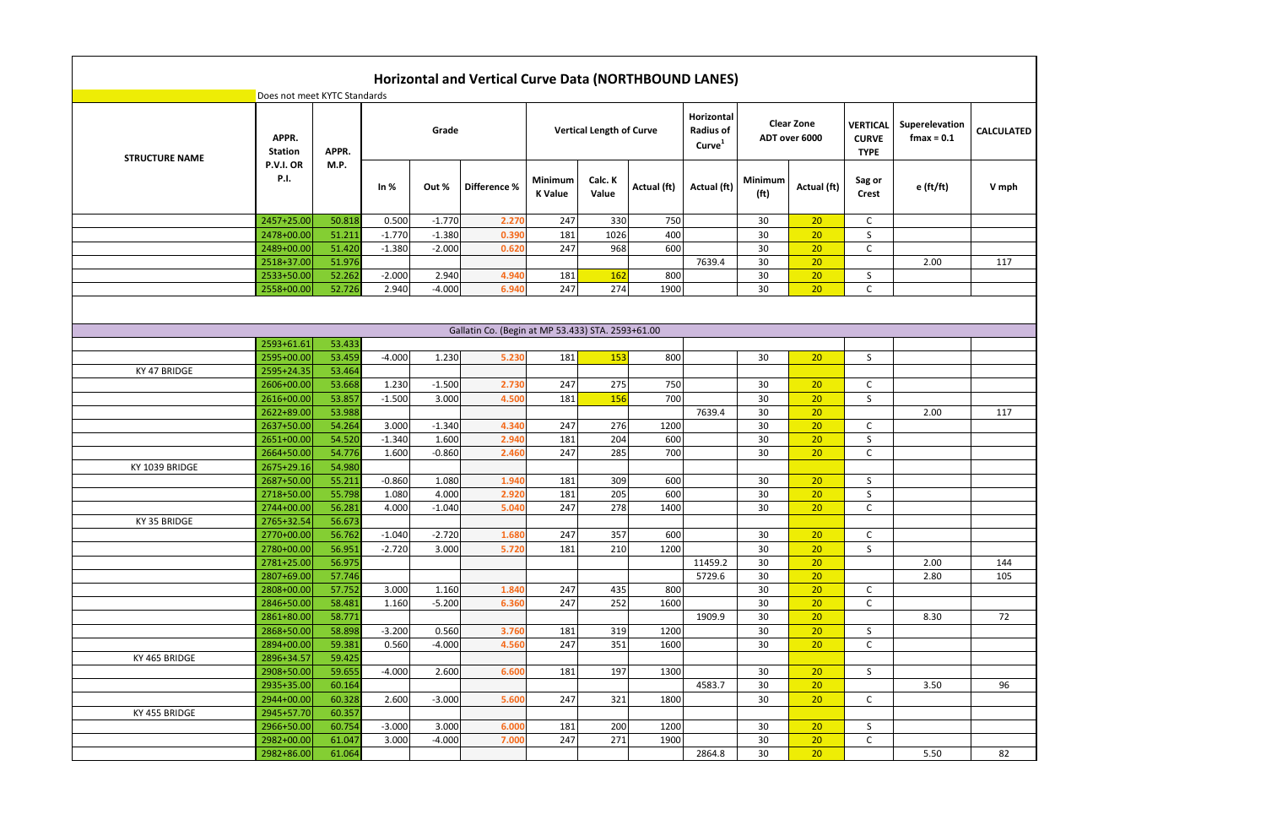| <b>RTICAL</b><br><b>URVE</b><br><b>TYPE</b>      | Superelevation<br>$f$ max = $0.1$ | <b>CALCULATED</b> |
|--------------------------------------------------|-----------------------------------|-------------------|
| Sag or<br><b>Crest</b>                           | e (ft/ft)                         | V mph             |
| C                                                |                                   |                   |
| $\overline{\mathsf{S}}$                          |                                   |                   |
| $\overline{\epsilon}$                            |                                   |                   |
|                                                  | 2.00                              | 117               |
| S                                                |                                   |                   |
| $\overline{\mathsf{C}}$                          |                                   |                   |
|                                                  |                                   |                   |
|                                                  |                                   |                   |
|                                                  |                                   |                   |
| S                                                |                                   |                   |
|                                                  |                                   |                   |
| $\mathsf{C}$                                     |                                   |                   |
| $\overline{\mathsf{S}}$                          |                                   |                   |
|                                                  | 2.00                              | 117               |
| $\overline{C}$                                   |                                   |                   |
| $\overline{\mathsf{S}}$<br>$\overline{\epsilon}$ |                                   |                   |
|                                                  |                                   |                   |
| S                                                |                                   |                   |
| $\overline{\mathsf{S}}$                          |                                   |                   |
| $\overline{\mathsf{c}}$                          |                                   |                   |
|                                                  |                                   |                   |
| $\overline{c}$                                   |                                   |                   |
| $\overline{\mathsf{s}}$                          |                                   |                   |
|                                                  | 2.00                              | 144               |
|                                                  | 2.80                              | 105               |
|                                                  |                                   |                   |
| $rac{C}{C}$                                      |                                   |                   |
|                                                  | 8.30                              | 72                |
| $rac{5}{c}$                                      |                                   |                   |
|                                                  |                                   |                   |
|                                                  |                                   |                   |
| $\overline{\mathsf{S}}$                          |                                   |                   |
|                                                  | 3.50                              | 96                |
| $\overline{c}$                                   |                                   |                   |
|                                                  |                                   |                   |
| $rac{S}{C}$                                      |                                   |                   |
|                                                  |                                   |                   |
|                                                  | 5.50                              | 82                |

|                       | Does not meet KYTC Standards |                  |          |          |                                                   |                           |                                 |              |                                                      |                                     |                                    |                                                |                                 |                |
|-----------------------|------------------------------|------------------|----------|----------|---------------------------------------------------|---------------------------|---------------------------------|--------------|------------------------------------------------------|-------------------------------------|------------------------------------|------------------------------------------------|---------------------------------|----------------|
| <b>STRUCTURE NAME</b> | APPR.<br><b>Station</b>      | APPR.            |          | Grade    |                                                   |                           | <b>Vertical Length of Curve</b> |              | Horizontal<br><b>Radius of</b><br>Curve <sup>1</sup> |                                     | <b>Clear Zone</b><br>ADT over 6000 | <b>VERTICAL</b><br><b>CURVE</b><br><b>TYPE</b> | Superelevation<br>$f$ max = 0.1 | <b>CALCULA</b> |
|                       | P.V.I. OR<br><b>P.I.</b>     | M.P.             | In $%$   | Out %    | Difference %                                      | Minimum<br><b>K</b> Value | Calc. K<br>Value                | Actual (ft)  | Actual (ft)                                          | <b>Minimum</b><br>(f <sup>t</sup> ) | Actual (ft)                        | Sag or<br><b>Crest</b>                         | e (ft/ft)                       | V mp           |
|                       | 2457+25.00                   | 50.818           | 0.500    | $-1.770$ | 2.270                                             | 247                       | 330                             | 750          |                                                      | 30                                  | 20                                 | $\mathsf C$                                    |                                 |                |
|                       | 2478+00.00                   | 51.211           | $-1.770$ | $-1.380$ | 0.390                                             | 181                       | 1026                            | 400          |                                                      | 30                                  | 20                                 | S                                              |                                 |                |
|                       | 2489+00.00                   | 51.420           | $-1.380$ | $-2.000$ | 0.620                                             | 247                       | 968                             | 600          |                                                      | 30                                  | 20                                 | $\mathsf C$                                    |                                 |                |
|                       | 2518+37.00                   | 51.976           |          |          |                                                   |                           |                                 |              | 7639.4                                               | 30                                  | 20                                 |                                                | 2.00                            | 117            |
|                       | 2533+50.00                   | 52.262           | $-2.000$ | 2.940    | 4.940                                             | 181                       | 162                             | 800          |                                                      | 30                                  | 20                                 | S                                              |                                 |                |
|                       | 2558+00.00                   | 52.726           | 2.940    | $-4.000$ | 6.940                                             | 247                       | 274                             | 1900         |                                                      | 30                                  | 20                                 | $\mathsf C$                                    |                                 |                |
|                       |                              |                  |          |          |                                                   |                           |                                 |              |                                                      |                                     |                                    |                                                |                                 |                |
|                       |                              |                  |          |          | Gallatin Co. (Begin at MP 53.433) STA. 2593+61.00 |                           |                                 |              |                                                      |                                     |                                    |                                                |                                 |                |
|                       | 2593+61.61                   | 53.433           |          |          |                                                   |                           |                                 |              |                                                      |                                     |                                    |                                                |                                 |                |
|                       | 2595+00.00                   | 53.459           | $-4.000$ | 1.230    | 5.230                                             | 181                       | 153                             | 800          |                                                      | 30                                  | 20                                 | S                                              |                                 |                |
| KY 47 BRIDGE          | 2595+24.35                   | 53.464           |          |          |                                                   |                           |                                 |              |                                                      |                                     |                                    |                                                |                                 |                |
|                       | 2606+00.00                   | 53.668           | 1.230    | $-1.500$ | 2.730                                             | 247                       | 275                             | 750          |                                                      | 30                                  | 20                                 | $\mathsf{C}$                                   |                                 |                |
|                       | 2616+00.00                   | 53.857           | $-1.500$ | 3.000    | 4.500                                             | 181                       | 156                             | 700          |                                                      | 30                                  | 20                                 | S                                              |                                 |                |
|                       | 2622+89.00                   | 53.988           |          |          |                                                   |                           |                                 |              | 7639.4                                               | 30                                  | 20                                 |                                                | 2.00                            | 117            |
|                       | 2637+50.00                   | 54.264           | 3.000    | $-1.340$ | 4.340                                             | 247                       | 276                             | 1200         |                                                      | 30                                  | 20                                 | $\mathsf C$                                    |                                 |                |
|                       | 2651+00.00                   | 54.520           | $-1.340$ | 1.600    | 2.940                                             | 181                       | 204                             | 600          |                                                      | 30                                  | 20                                 | S                                              |                                 |                |
|                       | 2664+50.00                   | 54.776           | 1.600    | $-0.860$ | 2.460                                             | 247                       | 285                             | 700          |                                                      | 30                                  | 20                                 | $\mathsf C$                                    |                                 |                |
| KY 1039 BRIDGE        | 2675+29.16                   | 54.980           |          |          |                                                   |                           |                                 |              |                                                      |                                     |                                    |                                                |                                 |                |
|                       | 2687+50.00                   | 55.211           | $-0.860$ | 1.080    | 1.940                                             | 181                       | 309                             | 600          |                                                      | 30                                  | 20                                 | S                                              |                                 |                |
|                       | 2718+50.00                   | 55.798           | 1.080    | 4.000    | 2.920                                             | 181                       | 205                             | 600          |                                                      | 30                                  | 20                                 | S                                              |                                 |                |
|                       | 2744+00.00                   | 56.281           | 4.000    | $-1.040$ | 5.040                                             | 247                       | 278                             | 1400         |                                                      | 30                                  | 20                                 | C                                              |                                 |                |
| KY 35 BRIDGE          | 2765+32.54                   | 56.673           |          |          |                                                   |                           |                                 |              |                                                      |                                     |                                    |                                                |                                 |                |
|                       | 2770+00.00                   | 56.762           | $-1.040$ | $-2.720$ | 1.680                                             | 247                       | 357                             | 600          |                                                      | 30                                  | 20                                 | C                                              |                                 |                |
|                       | 2780+00.00                   | 56.951           | $-2.720$ | 3.000    | 5.720                                             | 181                       | 210                             | 1200         |                                                      | 30                                  | 20                                 | S.                                             |                                 |                |
|                       | 2781+25.00                   | 56.975           |          |          |                                                   |                           |                                 |              | 11459.2                                              | 30                                  | 20                                 |                                                | 2.00                            | 144            |
|                       | 2807+69.00                   | 57.746           |          |          |                                                   |                           |                                 |              | 5729.6                                               | 30                                  | 20                                 |                                                | 2.80                            | 105            |
|                       | 2808+00.00                   | 57.752           | 3.000    | 1.160    | 1.840                                             | 247                       | 435                             | 800          |                                                      | 30                                  | 20                                 | C                                              |                                 |                |
|                       | 2846+50.00                   | 58.481           | 1.160    | $-5.200$ | 6.360                                             | 247                       | 252                             | 1600         |                                                      | 30                                  | 20                                 | $\mathsf C$                                    |                                 |                |
|                       | 2861+80.00                   | 58.771           |          |          |                                                   |                           |                                 |              | 1909.9                                               | 30                                  | 20                                 |                                                | 8.30                            | 72             |
|                       | 2868+50.00                   | 58.898           | $-3.200$ | 0.560    | 3.760                                             | 181                       | 319                             | 1200         |                                                      | 30                                  | 20                                 | S                                              |                                 |                |
|                       | 2894+00.00                   | 59.381           | 0.560    | $-4.000$ | 4.560                                             | 247                       | 351                             | 1600         |                                                      | 30                                  | 20                                 | C                                              |                                 |                |
| KY 465 BRIDGE         | 2896+34.57                   | 59.425           |          |          |                                                   |                           |                                 |              |                                                      |                                     |                                    |                                                |                                 |                |
|                       | 2908+50.00<br>2935+35.00     | 59.655<br>60.164 | $-4.000$ | 2.600    | 6.600                                             | 181                       | 197                             | 1300         | 4583.7                                               | 30<br>30                            | 20<br>20                           | S                                              |                                 |                |
|                       | 2944+00.00                   |                  |          | $-3.000$ | 5.600                                             | 247                       | 321                             | 1800         |                                                      | 30                                  | 20                                 |                                                | 3.50                            | 96             |
|                       |                              | 60.328           | 2.600    |          |                                                   |                           |                                 |              |                                                      |                                     |                                    | $\mathsf{C}$                                   |                                 |                |
| KY 455 BRIDGE         | 2945+57.70                   | 60.357           |          |          |                                                   |                           |                                 |              |                                                      |                                     |                                    |                                                |                                 |                |
|                       | 2966+50.00<br>2982+00.00     | 60.754           | $-3.000$ | 3.000    | 6.000<br>7.000                                    | 181<br>247                | 200<br>271                      | 1200<br>1900 |                                                      | 30<br>30                            | 20<br>20                           | S.<br>$\mathsf C$                              |                                 |                |
|                       | 2982+86.00                   | 61.047           | 3.000    | $-4.000$ |                                                   |                           |                                 |              | 2864.8                                               | 30                                  | 20                                 |                                                |                                 | 82             |
|                       |                              | 61.064           |          |          |                                                   |                           |                                 |              |                                                      |                                     |                                    |                                                | 5.50                            |                |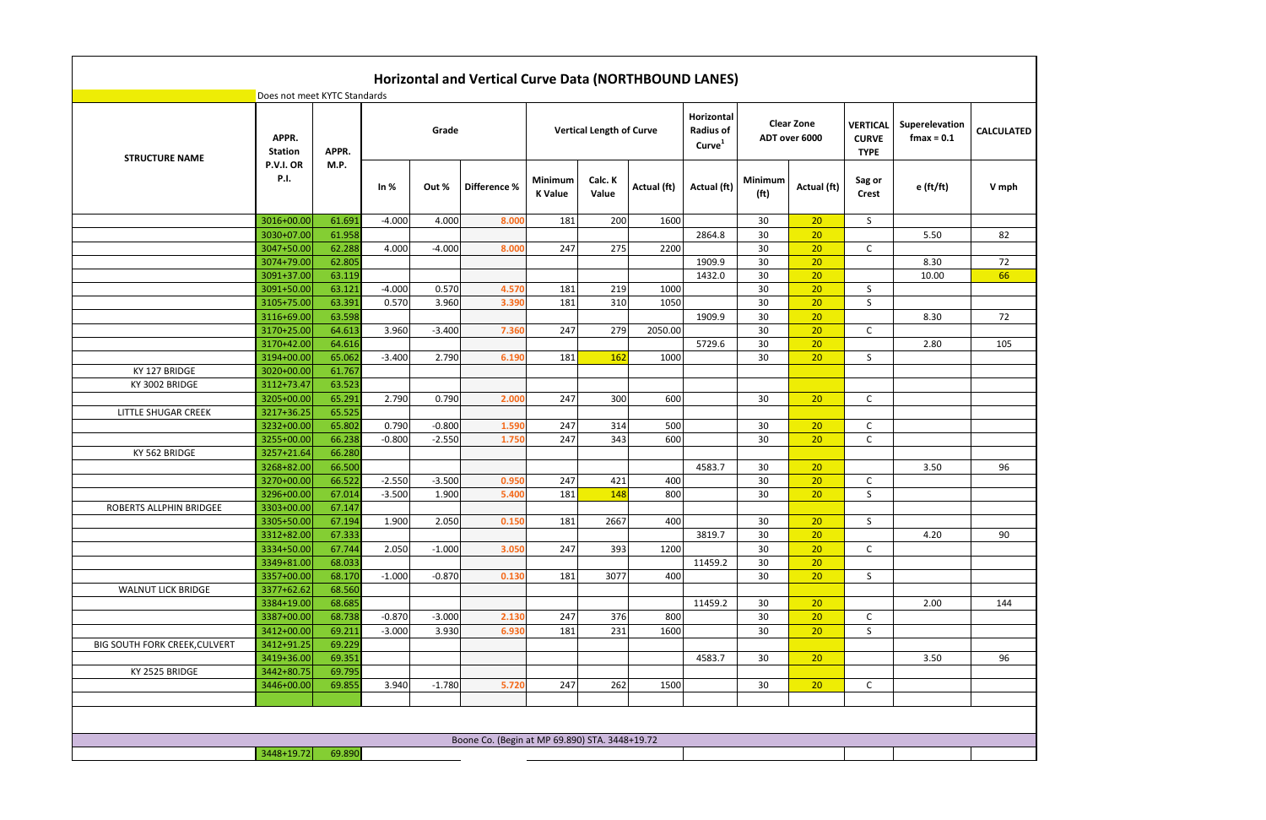|                                      |                              |                  |                   |          | <b>Horizontal and Vertical Curve Data (NORTHBOUND LANES)</b> |                           |                                 |             |                                                      |                              |                                    |                                                |                                 |                   |
|--------------------------------------|------------------------------|------------------|-------------------|----------|--------------------------------------------------------------|---------------------------|---------------------------------|-------------|------------------------------------------------------|------------------------------|------------------------------------|------------------------------------------------|---------------------------------|-------------------|
|                                      | Does not meet KYTC Standards |                  |                   |          |                                                              |                           |                                 |             |                                                      |                              |                                    |                                                |                                 |                   |
| <b>STRUCTURE NAME</b>                | APPR.<br><b>Station</b>      | APPR.            |                   | Grade    |                                                              |                           | <b>Vertical Length of Curve</b> |             | Horizontal<br><b>Radius of</b><br>Curve <sup>1</sup> |                              | <b>Clear Zone</b><br>ADT over 6000 | <b>VERTICAL</b><br><b>CURVE</b><br><b>TYPE</b> | Superelevation<br>$f$ max = 0.1 | <b>CALCULATED</b> |
|                                      | P.V.I. OR<br><b>P.I.</b>     | M.P.             | In $%$            | Out %    | Difference %                                                 | Minimum<br><b>K</b> Value | Calc. K<br>Value                | Actual (ft) | Actual (ft)                                          | Minimum<br>(f <sup>t</sup> ) | Actual (ft)                        | Sag or<br><b>Crest</b>                         | $e$ (ft/ft)                     | V mph             |
|                                      | 3016+00.00                   | 61.691           | $-4.000$          | 4.000    | 8.000                                                        | 181                       | 200                             | 1600        |                                                      | 30                           | 20                                 | S                                              |                                 |                   |
|                                      | 3030+07.00                   | 61.958           |                   |          |                                                              |                           |                                 |             | 2864.8                                               | 30                           | 20                                 |                                                | 5.50                            | 82                |
|                                      | 3047+50.00                   | 62.288           | 4.000             | $-4.000$ | 8.000                                                        | 247                       | 275                             | 2200        |                                                      | 30                           | 20                                 | C                                              |                                 |                   |
|                                      | 3074+79.00                   | 62.805           |                   |          |                                                              |                           |                                 |             | 1909.9                                               | 30                           | 20                                 |                                                | 8.30                            | 72                |
|                                      | 3091+37.00                   | 63.119           |                   |          |                                                              |                           |                                 |             | 1432.0                                               | 30                           | 20                                 |                                                | 10.00                           | 66                |
|                                      | 3091+50.00                   | 63.121           | $-4.000$          | 0.570    | 4.570                                                        | 181                       | 219                             | 1000        |                                                      | 30                           | 20                                 | S                                              |                                 |                   |
|                                      | 3105+75.00                   | 63.391           | 0.570             | 3.960    | 3.390                                                        | 181                       | 310                             | 1050        |                                                      | 30                           | 20                                 | S                                              |                                 |                   |
|                                      | 3116+69.00                   | 63.598           |                   |          |                                                              |                           |                                 |             | 1909.9                                               | 30                           | 20                                 |                                                | 8.30                            | 72                |
|                                      | 3170+25.00                   | 64.613           | 3.960             | $-3.400$ | 7.360                                                        | 247                       | 279                             | 2050.00     |                                                      | 30                           | 20                                 | C                                              |                                 |                   |
|                                      | 3170+42.00                   | 64.616           |                   |          |                                                              |                           |                                 |             | 5729.6                                               | 30                           | 20                                 |                                                | 2.80                            | 105               |
|                                      | 3194+00.00                   | 65.062           | $-3.400$          | 2.790    | 6.190                                                        | 181                       | 162                             | 1000        |                                                      | 30                           | 20                                 | S                                              |                                 |                   |
| KY 127 BRIDGE                        | 3020+00.00                   | 61.767           |                   |          |                                                              |                           |                                 |             |                                                      |                              |                                    |                                                |                                 |                   |
| KY 3002 BRIDGE                       | 3112+73.47                   | 63.523           |                   |          |                                                              |                           |                                 |             |                                                      |                              |                                    |                                                |                                 |                   |
|                                      | 3205+00.00                   | 65.291           | 2.790             | 0.790    | 2.000                                                        | 247                       | 300                             | 600         |                                                      | 30                           | 20                                 | C                                              |                                 |                   |
| LITTLE SHUGAR CREEK                  | 3217+36.25                   | 65.525           |                   |          |                                                              |                           |                                 |             |                                                      |                              |                                    |                                                |                                 |                   |
|                                      | 3232+00.00                   | 65.802           | 0.790<br>$-0.800$ | $-0.800$ | 1.590                                                        | 247<br>247                | 314<br>343                      | 500<br>600  |                                                      | 30                           | 20<br>20                           | $\mathsf{C}$                                   |                                 |                   |
| KY 562 BRIDGE                        | 3255+00.00<br>3257+21.64     | 66.238<br>66.280 |                   | $-2.550$ | 1.750                                                        |                           |                                 |             |                                                      | 30                           |                                    | $\mathsf C$                                    |                                 |                   |
|                                      | 3268+82.00                   | 66.500           |                   |          |                                                              |                           |                                 |             | 4583.7                                               | 30                           | 20                                 |                                                | 3.50                            | 96                |
|                                      | 3270+00.00                   | 66.522           | $-2.550$          | $-3.500$ | 0.950                                                        | 247                       | 421                             | 400         |                                                      | 30                           | 20                                 | $\mathsf{C}$                                   |                                 |                   |
|                                      | 3296+00.00                   | 67.014           | $-3.500$          | 1.900    | 5.400                                                        | 181                       | 148                             | 800         |                                                      | 30                           | 20                                 | S                                              |                                 |                   |
| ROBERTS ALLPHIN BRIDGEE              | 3303+00.00                   | 67.147           |                   |          |                                                              |                           |                                 |             |                                                      |                              |                                    |                                                |                                 |                   |
|                                      | 3305+50.00                   | 67.194           | 1.900             | 2.050    | 0.150                                                        | 181                       | 2667                            | 400         |                                                      | 30                           | 20                                 | S.                                             |                                 |                   |
|                                      | 3312+82.00                   | 67.333           |                   |          |                                                              |                           |                                 |             | 3819.7                                               | 30                           | 20                                 |                                                | 4.20                            | 90                |
|                                      | 3334+50.00                   | 67.744           | 2.050             | $-1.000$ | 3.050                                                        | 247                       | 393                             | 1200        |                                                      | 30                           | 20                                 | $\mathsf{C}$                                   |                                 |                   |
|                                      | 3349+81.00                   | 68.033           |                   |          |                                                              |                           |                                 |             | 11459.2                                              | 30                           | 20                                 |                                                |                                 |                   |
|                                      | 3357+00.00                   | 68.170           | $-1.000$          | $-0.870$ | 0.130                                                        | 181                       | 3077                            | 400         |                                                      | 30                           | 20                                 | S                                              |                                 |                   |
| <b>WALNUT LICK BRIDGE</b>            | 3377+62.62                   | 68.560           |                   |          |                                                              |                           |                                 |             |                                                      |                              |                                    |                                                |                                 |                   |
|                                      | 3384+19.00                   | 68.685           |                   |          |                                                              |                           |                                 |             | 11459.2                                              | 30                           | 20                                 |                                                | 2.00                            | 144               |
|                                      | 3387+00.00                   | 68.738           | $-0.870$          | $-3.000$ | 2.130                                                        | 247                       | 376                             | 800         |                                                      | 30                           | 20                                 | $\mathsf{C}$                                   |                                 |                   |
|                                      | 3412+00.00                   | 69.211           | $-3.000$          | 3.930    | 6.930                                                        | 181                       | 231                             | 1600        |                                                      | 30                           | 20                                 | S                                              |                                 |                   |
| <b>BIG SOUTH FORK CREEK, CULVERT</b> | 3412+91.25                   | 69.229           |                   |          |                                                              |                           |                                 |             |                                                      |                              |                                    |                                                |                                 |                   |
|                                      | 3419+36.00                   | 69.351           |                   |          |                                                              |                           |                                 |             | 4583.7                                               | 30                           | 20                                 |                                                | 3.50                            | 96                |
| KY 2525 BRIDGE                       | 3442+80.75                   | 69.795           |                   |          |                                                              |                           |                                 |             |                                                      |                              |                                    |                                                |                                 |                   |
|                                      | 3446+00.00                   | 69.855           | 3.940             | $-1.780$ | 5.720                                                        | 247                       | 262                             | 1500        |                                                      | 30                           | 20                                 | $\mathsf{C}$                                   |                                 |                   |
|                                      |                              |                  |                   |          |                                                              |                           |                                 |             |                                                      |                              |                                    |                                                |                                 |                   |
|                                      |                              |                  |                   |          |                                                              |                           |                                 |             |                                                      |                              |                                    |                                                |                                 |                   |
|                                      |                              |                  |                   |          | Boone Co. (Begin at MP 69.890) STA. 3448+19.72               |                           |                                 |             |                                                      |                              |                                    |                                                |                                 |                   |
|                                      | 3448+19.72                   | 69.890           |                   |          |                                                              |                           |                                 |             |                                                      |                              |                                    |                                                |                                 |                   |
|                                      |                              |                  |                   |          |                                                              |                           |                                 |             |                                                      |                              |                                    |                                                |                                 |                   |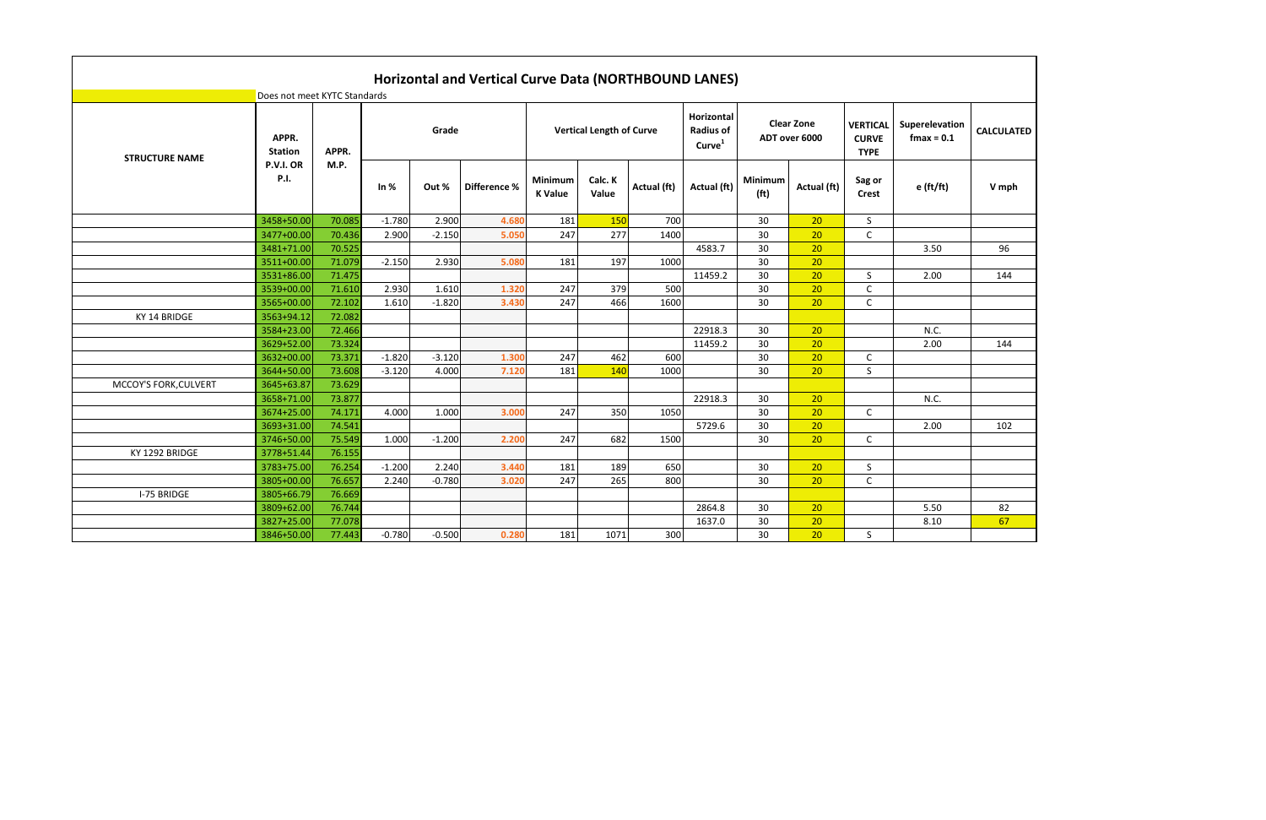|                       | Does not meet KYTC Standards |                  |          |                   | Horizontal and Vertical Curve Data (NORTHBOUND LANES) |                           |                                 |             |                                                             |                                     |                                    |                                                |                                 |                   |
|-----------------------|------------------------------|------------------|----------|-------------------|-------------------------------------------------------|---------------------------|---------------------------------|-------------|-------------------------------------------------------------|-------------------------------------|------------------------------------|------------------------------------------------|---------------------------------|-------------------|
| <b>STRUCTURE NAME</b> | APPR.<br><b>Station</b>      | APPR.            |          | Grade             |                                                       |                           | <b>Vertical Length of Curve</b> |             | <b>Horizontal</b><br><b>Radius of</b><br>Curve <sup>1</sup> |                                     | <b>Clear Zone</b><br>ADT over 6000 | <b>VERTICAL</b><br><b>CURVE</b><br><b>TYPE</b> | Superelevation<br>$f$ max = 0.1 | <b>CALCULATED</b> |
|                       | P.V.I. OR<br>P.I.            | M.P.             | In $%$   | Out %             | Difference %                                          | Minimum<br><b>K</b> Value | Calc. K<br>Value                | Actual (ft) | Actual (ft)                                                 | <b>Minimum</b><br>(f <sup>t</sup> ) | Actual (ft)                        | Sag or<br><b>Crest</b>                         | $e$ (ft/ft)                     | V mph             |
|                       | 3458+50.00                   | 70.085           | $-1.780$ | 2.900             | 4.680                                                 | 181                       | 150                             | 700         |                                                             | 30                                  | 20                                 | S                                              |                                 |                   |
|                       | 3477+00.00                   | 70.436           | 2.900    | $-2.150$          | 5.050                                                 | 247                       | 277                             | 1400        |                                                             | 30                                  | 20                                 | $\mathsf{C}$                                   |                                 |                   |
|                       | 3481+71.00                   | 70.525           |          |                   |                                                       |                           |                                 |             | 4583.7                                                      | 30                                  | 20                                 |                                                | 3.50                            | 96                |
|                       | 3511+00.00                   | 71.079           | $-2.150$ | 2.930             | 5.080                                                 | 181                       | 197                             | 1000        |                                                             | 30                                  | 20                                 |                                                |                                 |                   |
|                       | 3531+86.00                   | 71.475           |          |                   |                                                       |                           |                                 |             | 11459.2                                                     | 30                                  | 20                                 | S.                                             | 2.00                            | 144               |
|                       | 3539+00.00                   | 71.610           | 2.930    | 1.610<br>$-1.820$ | 1.320                                                 | 247<br>247                | 379                             | 500         |                                                             | 30<br>30                            | 20<br>20                           | $\mathsf C$                                    |                                 |                   |
| KY 14 BRIDGE          | 3565+00.00<br>3563+94.12     | 72.102<br>72.082 | 1.610    |                   | 3.430                                                 |                           | 466                             | 1600        |                                                             |                                     |                                    | C                                              |                                 |                   |
|                       | 3584+23.00                   | 72.466           |          |                   |                                                       |                           |                                 |             | 22918.3                                                     | 30                                  | 20                                 |                                                | N.C.                            |                   |
|                       | 3629+52.00                   | 73.324           |          |                   |                                                       |                           |                                 |             | 11459.2                                                     | 30                                  | 20                                 |                                                | 2.00                            | 144               |
|                       | 3632+00.00                   | 73.371           | $-1.820$ | $-3.120$          | 1.300                                                 | 247                       | 462                             | 600         |                                                             | 30                                  | 20                                 | C                                              |                                 |                   |
|                       | 3644+50.00                   | 73.608           | $-3.120$ | 4.000             | 7.12(                                                 | 181                       | 140                             | 1000        |                                                             | 30                                  | 20                                 | S                                              |                                 |                   |
| MCCOY'S FORK, CULVERT | 3645+63.87                   | 73.629           |          |                   |                                                       |                           |                                 |             |                                                             |                                     |                                    |                                                |                                 |                   |
|                       | 3658+71.00                   | 73.877           |          |                   |                                                       |                           |                                 |             | 22918.3                                                     | 30                                  | 20                                 |                                                | N.C.                            |                   |
|                       | 3674+25.00                   | 74.171           | 4.000    | 1.000             | 3.000                                                 | 247                       | 350                             | 1050        |                                                             | 30                                  | 20                                 | C                                              |                                 |                   |
|                       | 3693+31.00                   | 74.541           |          |                   |                                                       |                           |                                 |             | 5729.6                                                      | 30                                  | 20                                 |                                                | 2.00                            | 102               |
|                       | 3746+50.00                   | 75.549           | 1.000    | $-1.200$          | 2.200                                                 | 247                       | 682                             | 1500        |                                                             | 30                                  | 20                                 | $\mathsf{C}$                                   |                                 |                   |
| KY 1292 BRIDGE        | 3778+51.44                   | 76.155           |          |                   |                                                       |                           |                                 |             |                                                             |                                     |                                    |                                                |                                 |                   |
|                       | 3783+75.00                   | 76.254           | $-1.200$ | 2.240             | 3.440                                                 | 181                       | 189                             | 650         |                                                             | 30                                  | 20                                 | $\sf S$                                        |                                 |                   |
|                       | 3805+00.00                   | 76.657           | 2.240    | $-0.780$          | 3.020                                                 | 247                       | 265                             | 800         |                                                             | 30                                  | 20                                 | $\mathsf{C}$                                   |                                 |                   |
| I-75 BRIDGE           | 3805+66.79                   | 76.669           |          |                   |                                                       |                           |                                 |             |                                                             |                                     |                                    |                                                |                                 |                   |
|                       | 3809+62.00                   | 76.744           |          |                   |                                                       |                           |                                 |             | 2864.8                                                      | 30                                  | 20                                 |                                                | 5.50                            | 82                |
|                       | 3827+25.00                   | 77.078           |          |                   |                                                       |                           |                                 |             | 1637.0                                                      | 30                                  | 20                                 |                                                | 8.10                            | 67                |
|                       | 3846+50.00                   | 77.443           | $-0.780$ | $-0.500$          | 0.280                                                 | 181                       | 1071                            | 300         |                                                             | 30                                  | 20                                 | S                                              |                                 |                   |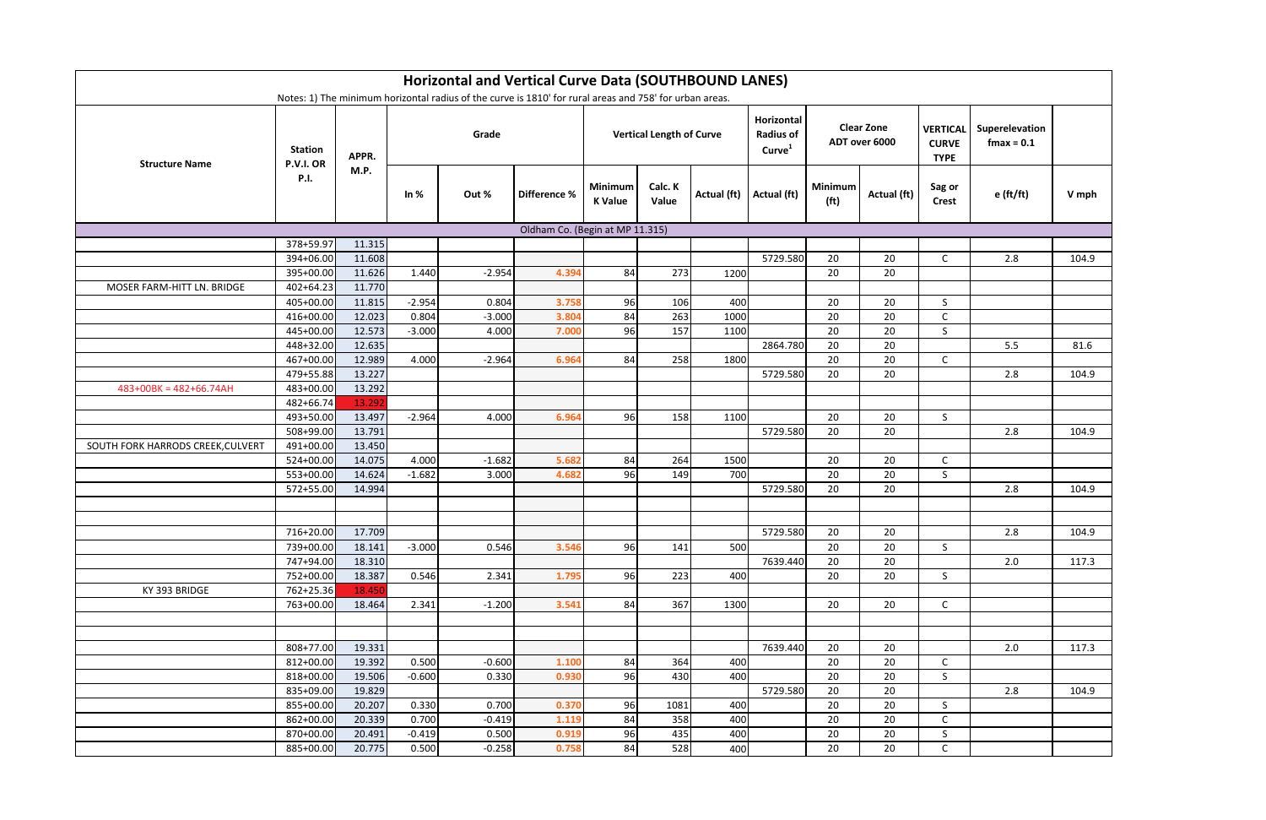|                                   |                             |                  |          | <b>Horizontal and Vertical Curve Data (SOUTHBOUND LANES)</b><br>Notes: 1) The minimum horizontal radius of the curve is 1810' for rural areas and 758' for urban areas. |                                 |                           |                                 |             |                                                      |                              |                                    |                                                |                                 |       |
|-----------------------------------|-----------------------------|------------------|----------|-------------------------------------------------------------------------------------------------------------------------------------------------------------------------|---------------------------------|---------------------------|---------------------------------|-------------|------------------------------------------------------|------------------------------|------------------------------------|------------------------------------------------|---------------------------------|-------|
| <b>Structure Name</b>             | <b>Station</b><br>P.V.I. OR | APPR.            |          | Grade                                                                                                                                                                   |                                 |                           | <b>Vertical Length of Curve</b> |             | Horizontal<br><b>Radius of</b><br>Curve <sup>1</sup> |                              | <b>Clear Zone</b><br>ADT over 6000 | <b>VERTICAL</b><br><b>CURVE</b><br><b>TYPE</b> | Superelevation<br>$f$ max = 0.1 |       |
|                                   | <b>P.I.</b>                 | M.P.             | In $%$   | Out %                                                                                                                                                                   | Difference %                    | Minimum<br><b>K</b> Value | Calc. K<br>Value                | Actual (ft) | Actual (ft)                                          | Minimum<br>(f <sup>t</sup> ) | Actual (ft)                        | Sag or<br><b>Crest</b>                         | $e$ (ft/ft)                     | V mph |
|                                   |                             |                  |          |                                                                                                                                                                         | Oldham Co. (Begin at MP 11.315) |                           |                                 |             |                                                      |                              |                                    |                                                |                                 |       |
|                                   | 378+59.97                   | 11.315           |          |                                                                                                                                                                         |                                 |                           |                                 |             |                                                      |                              |                                    |                                                |                                 |       |
|                                   | 394+06.00                   | 11.608           |          |                                                                                                                                                                         |                                 |                           |                                 |             | 5729.580                                             | 20                           | 20                                 | $\mathsf{C}$                                   | 2.8                             | 104.9 |
|                                   | 395+00.00                   | 11.626           | 1.440    | $-2.954$                                                                                                                                                                | 4.394                           | 84                        | 273                             | 1200        |                                                      | 20                           | 20                                 |                                                |                                 |       |
| MOSER FARM-HITT LN. BRIDGE        | $402 + 64.23$               | 11.770           |          |                                                                                                                                                                         |                                 |                           |                                 |             |                                                      |                              |                                    |                                                |                                 |       |
|                                   | 405+00.00                   | 11.815           | $-2.954$ | 0.804                                                                                                                                                                   | 3.758                           | 96                        | 106                             | 400         |                                                      | 20                           | 20                                 | $\mathsf{S}$                                   |                                 |       |
|                                   | 416+00.00                   | 12.023           | 0.804    | $-3.000$                                                                                                                                                                | 3.804                           | 84                        | 263                             | 1000        |                                                      | 20                           | 20                                 | C                                              |                                 |       |
|                                   | 445+00.00                   | 12.573           | $-3.000$ | 4.000                                                                                                                                                                   | 7.000                           | 96                        | 157                             | 1100        |                                                      | 20                           | 20                                 | S                                              |                                 |       |
|                                   | 448+32.00                   | 12.635           |          |                                                                                                                                                                         |                                 |                           |                                 |             | 2864.780                                             | 20                           | 20                                 |                                                | 5.5                             | 81.6  |
|                                   | 467+00.00                   | 12.989           | 4.000    | $-2.964$                                                                                                                                                                | 6.964                           | 84                        | 258                             | 1800        |                                                      | 20                           | 20                                 | $\mathsf{C}$                                   |                                 |       |
|                                   | 479+55.88                   | 13.227           |          |                                                                                                                                                                         |                                 |                           |                                 |             | 5729.580                                             | 20                           | 20                                 |                                                | 2.8                             | 104.9 |
| $483+00BK = 482+66.74AH$          | 483+00.00                   | 13.292           |          |                                                                                                                                                                         |                                 |                           |                                 |             |                                                      |                              |                                    |                                                |                                 |       |
|                                   | 482+66.74                   | 13.292           | $-2.964$ |                                                                                                                                                                         |                                 |                           |                                 |             |                                                      | 20                           |                                    |                                                |                                 |       |
|                                   | 493+50.00<br>508+99.00      | 13.497<br>13.791 |          | 4.000                                                                                                                                                                   | 6.964                           | 96                        | 158                             | 1100        | 5729.580                                             | 20                           | 20<br>20                           | S.                                             | 2.8                             | 104.9 |
| SOUTH FORK HARRODS CREEK, CULVERT | 491+00.00                   | 13.450           |          |                                                                                                                                                                         |                                 |                           |                                 |             |                                                      |                              |                                    |                                                |                                 |       |
|                                   | 524+00.00                   | 14.075           | 4.000    | $-1.682$                                                                                                                                                                | 5.682                           | 84                        | 264                             | 1500        |                                                      | 20                           | 20                                 | $\mathsf{C}$                                   |                                 |       |
|                                   | 553+00.00                   | 14.624           | $-1.682$ | 3.000                                                                                                                                                                   | 4.682                           | 96                        | 149                             | 700         |                                                      | 20                           | 20                                 | $\mathsf{S}$                                   |                                 |       |
|                                   | 572+55.00                   | 14.994           |          |                                                                                                                                                                         |                                 |                           |                                 |             | 5729.580                                             | 20                           | 20                                 |                                                | 2.8                             | 104.9 |
|                                   |                             |                  |          |                                                                                                                                                                         |                                 |                           |                                 |             |                                                      |                              |                                    |                                                |                                 |       |
|                                   |                             |                  |          |                                                                                                                                                                         |                                 |                           |                                 |             |                                                      |                              |                                    |                                                |                                 |       |
|                                   | 716+20.00 17.709            |                  |          |                                                                                                                                                                         |                                 |                           |                                 |             | 5729.580                                             | 20                           | 20                                 |                                                | 2.8                             | 104.9 |
|                                   | 739+00.00                   | 18.141           | $-3.000$ | 0.546                                                                                                                                                                   | 3.546                           | 96                        | 141                             | 500         |                                                      | 20                           | 20                                 | S.                                             |                                 |       |
|                                   | 747+94.00                   | 18.310           |          |                                                                                                                                                                         |                                 |                           |                                 |             | 7639.440                                             | 20                           | 20                                 |                                                | 2.0                             | 117.3 |
|                                   | 752+00.00                   | 18.387           | 0.546    | 2.341                                                                                                                                                                   | 1.795                           | 96                        | 223                             | 400         |                                                      | 20                           | 20                                 | $\mathsf{S}$                                   |                                 |       |
| KY 393 BRIDGE                     | 762+25.36                   | 18.450           |          |                                                                                                                                                                         |                                 |                           |                                 |             |                                                      |                              |                                    |                                                |                                 |       |
|                                   | 763+00.00                   | 18.464           | 2.341    | $-1.200$                                                                                                                                                                | 3.541                           | 84                        | 367                             | 1300        |                                                      | 20                           | 20                                 | $\mathsf{C}$                                   |                                 |       |
|                                   |                             |                  |          |                                                                                                                                                                         |                                 |                           |                                 |             |                                                      |                              |                                    |                                                |                                 |       |
|                                   |                             |                  |          |                                                                                                                                                                         |                                 |                           |                                 |             |                                                      |                              |                                    |                                                |                                 |       |
|                                   | 808+77.00                   | 19.331           |          |                                                                                                                                                                         |                                 |                           |                                 |             | 7639.440                                             | 20                           | 20                                 |                                                | 2.0                             | 117.3 |
|                                   | 812+00.00                   | 19.392           | 0.500    | $-0.600$                                                                                                                                                                | 1.100                           | 84                        | 364                             | 400         |                                                      | 20                           | 20                                 | $\mathsf{C}$                                   |                                 |       |
|                                   | 818+00.00                   | 19.506           | $-0.600$ | 0.330                                                                                                                                                                   | 0.930                           | 96                        | 430                             | 400         |                                                      | 20                           | 20                                 | $\mathsf{S}$                                   |                                 |       |
|                                   | 835+09.00                   | 19.829           |          |                                                                                                                                                                         |                                 |                           |                                 |             | 5729.580                                             | 20                           | 20                                 |                                                | 2.8                             | 104.9 |
|                                   | 855+00.00                   | 20.207           | 0.330    | 0.700                                                                                                                                                                   | 0.370                           | 96                        | 1081                            | 400         |                                                      | 20                           | 20                                 | S                                              |                                 |       |
|                                   | 862+00.00                   | 20.339           | 0.700    | $-0.419$                                                                                                                                                                | 1.119                           | 84                        | 358                             | 400         |                                                      | 20                           | 20                                 | $\mathsf{C}$                                   |                                 |       |
|                                   | 870+00.00                   | 20.491           | $-0.419$ | 0.500                                                                                                                                                                   | 0.919                           | 96                        | 435                             | 400         |                                                      | 20                           | 20                                 | S                                              |                                 |       |
|                                   | 885+00.00                   | 20.775           | 0.500    | $-0.258$                                                                                                                                                                | 0.758                           | 84                        | 528                             | 400         |                                                      | 20                           | 20                                 | $\mathsf{C}$                                   |                                 |       |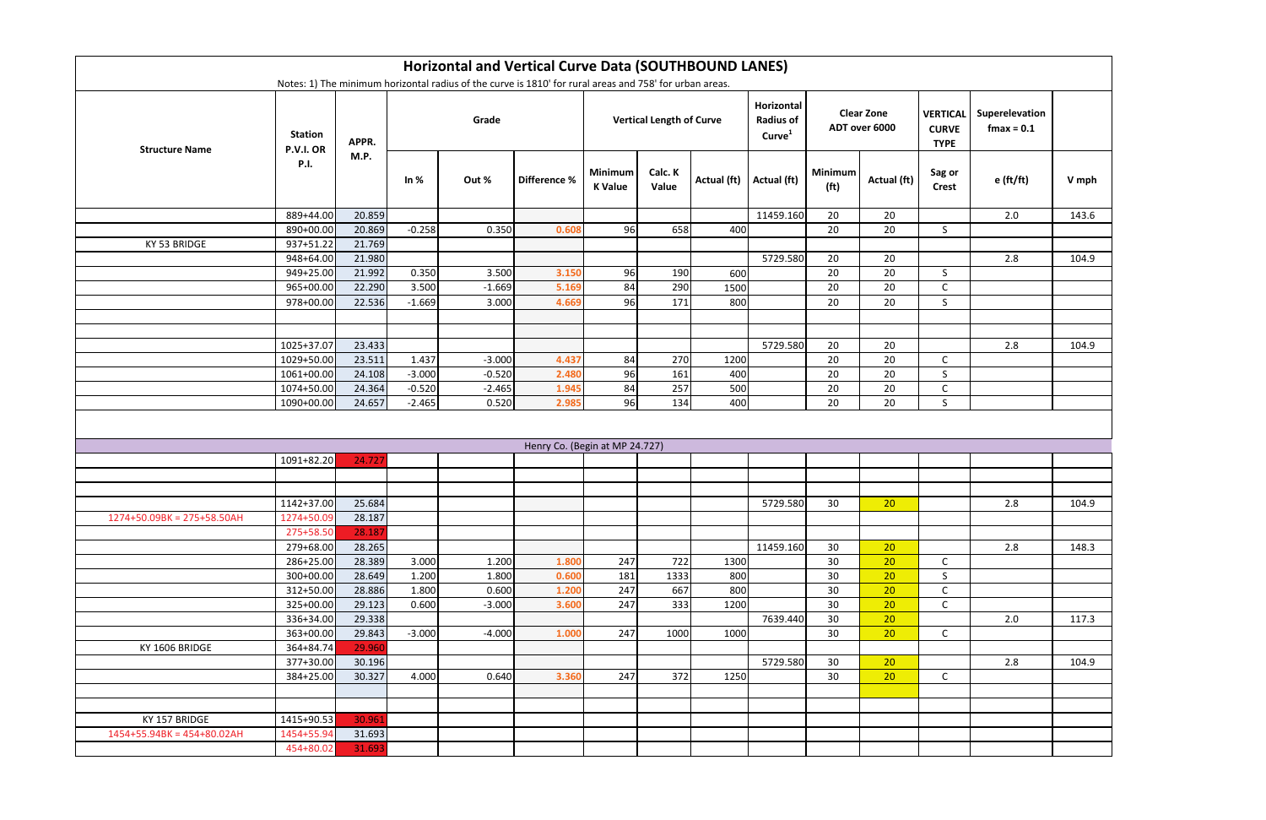|                              |                                    |        |          | Horizontal and Vertical Curve Data (SOUTHBOUND LANES)                                                   |                                |                                 |                  |             |                                                      |                                     |                 |                                                |                                 |       |
|------------------------------|------------------------------------|--------|----------|---------------------------------------------------------------------------------------------------------|--------------------------------|---------------------------------|------------------|-------------|------------------------------------------------------|-------------------------------------|-----------------|------------------------------------------------|---------------------------------|-------|
|                              |                                    |        |          | Notes: 1) The minimum horizontal radius of the curve is 1810' for rural areas and 758' for urban areas. |                                |                                 |                  |             |                                                      |                                     |                 |                                                |                                 |       |
| <b>Structure Name</b>        | <b>Station</b><br><b>P.V.I. OR</b> | APPR.  | Grade    |                                                                                                         |                                | <b>Vertical Length of Curve</b> |                  |             | Horizontal<br><b>Radius of</b><br>Curve <sup>1</sup> | <b>Clear Zone</b><br>ADT over 6000  |                 | <b>VERTICAL</b><br><b>CURVE</b><br><b>TYPE</b> | Superelevation<br>$f$ max = 0.1 |       |
|                              | <b>P.I.</b>                        | M.P.   | In $%$   | Out %                                                                                                   | Difference %                   | Minimum<br><b>K</b> Value       | Calc. K<br>Value | Actual (ft) | Actual (ft)                                          | <b>Minimum</b><br>(f <sup>t</sup> ) | Actual (ft)     | Sag or<br><b>Crest</b>                         | $e$ (ft/ft)                     | V mph |
|                              | 889+44.00                          | 20.859 |          |                                                                                                         |                                |                                 |                  |             | 11459.160                                            | 20                                  | 20              |                                                | 2.0                             | 143.6 |
|                              | 890+00.00                          | 20.869 | $-0.258$ | 0.350                                                                                                   | 0.608                          | 96                              | 658              | 400         |                                                      | 20                                  | 20              | S.                                             |                                 |       |
| KY 53 BRIDGE                 | 937+51.22                          | 21.769 |          |                                                                                                         |                                |                                 |                  |             |                                                      |                                     |                 |                                                |                                 |       |
|                              | 948+64.00                          | 21.980 |          |                                                                                                         |                                |                                 |                  |             | 5729.580                                             | 20                                  | 20              |                                                | 2.8                             | 104.9 |
|                              | 949+25.00                          | 21.992 | 0.350    | 3.500                                                                                                   | 3.150                          | 96                              | 190              | 600         |                                                      | 20                                  | 20              | S                                              |                                 |       |
|                              | 965+00.00                          | 22.290 | 3.500    | $-1.669$                                                                                                | 5.169                          | 84                              | 290              | 1500        |                                                      | 20                                  | 20              | $\mathsf C$                                    |                                 |       |
|                              | 978+00.00                          | 22.536 | $-1.669$ | 3.000                                                                                                   | 4.669                          | 96                              | 171              | 800         |                                                      | 20                                  | 20              | S                                              |                                 |       |
|                              |                                    |        |          |                                                                                                         |                                |                                 |                  |             |                                                      |                                     |                 |                                                |                                 |       |
|                              |                                    |        |          |                                                                                                         |                                |                                 |                  |             |                                                      |                                     |                 |                                                |                                 |       |
|                              | 1025+37.07                         | 23.433 |          |                                                                                                         |                                |                                 |                  |             | 5729.580                                             | 20                                  | 20              |                                                | 2.8                             | 104.9 |
|                              | 1029+50.00                         | 23.511 | 1.437    | $-3.000$                                                                                                | 4.437                          | 84                              | 270              | 1200        |                                                      | 20                                  | 20              | $\mathsf{C}$                                   |                                 |       |
|                              | 1061+00.00                         | 24.108 | $-3.000$ | $-0.520$                                                                                                | 2.480                          | 96                              | 161              | 400         |                                                      | 20                                  | 20              | S                                              |                                 |       |
|                              | 1074+50.00                         | 24.364 | $-0.520$ | $-2.465$                                                                                                | 1.945                          | 84                              | 257              | 500         |                                                      | 20                                  | 20              | $\mathsf{C}$                                   |                                 |       |
|                              | 1090+00.00                         | 24.657 | $-2.465$ | 0.520                                                                                                   | 2.985                          | 96                              | 134              | 400         |                                                      | 20                                  | 20              | $\mathsf{S}$                                   |                                 |       |
|                              |                                    |        |          |                                                                                                         |                                |                                 |                  |             |                                                      |                                     |                 |                                                |                                 |       |
|                              |                                    |        |          |                                                                                                         |                                |                                 |                  |             |                                                      |                                     |                 |                                                |                                 |       |
|                              | 1091+82.20                         | 24.727 |          |                                                                                                         | Henry Co. (Begin at MP 24.727) |                                 |                  |             |                                                      |                                     |                 |                                                |                                 |       |
|                              |                                    |        |          |                                                                                                         |                                |                                 |                  |             |                                                      |                                     |                 |                                                |                                 |       |
|                              |                                    |        |          |                                                                                                         |                                |                                 |                  |             |                                                      |                                     |                 |                                                |                                 |       |
|                              | 1142+37.00                         | 25.684 |          |                                                                                                         |                                |                                 |                  |             | 5729.580                                             | 30                                  | 20              |                                                | 2.8                             | 104.9 |
| 1274+50.09BK = 275+58.50AH   | 1274+50.09                         | 28.187 |          |                                                                                                         |                                |                                 |                  |             |                                                      |                                     |                 |                                                |                                 |       |
|                              | 275+58.50                          | 28.187 |          |                                                                                                         |                                |                                 |                  |             |                                                      |                                     |                 |                                                |                                 |       |
|                              | 279+68.00                          | 28.265 |          |                                                                                                         |                                |                                 |                  |             | 11459.160                                            | 30                                  | 20              |                                                | 2.8                             | 148.3 |
|                              | 286+25.00                          | 28.389 | 3.000    | 1.200                                                                                                   | 1.800                          | 247                             | 722              | 1300        |                                                      | 30                                  | 20              | $\mathsf{C}$                                   |                                 |       |
|                              | 300+00.00                          | 28.649 | 1.200    | 1.800                                                                                                   | 0.600                          | 181                             | 1333             | 800         |                                                      | 30                                  | 20 <sub>2</sub> | S.                                             |                                 |       |
|                              | 312+50.00                          | 28.886 | 1.800    | 0.600                                                                                                   | 1.200                          | 247                             | 667              | 800         |                                                      | 30                                  | 20              | $\mathsf{C}$                                   |                                 |       |
|                              | 325+00.00                          | 29.123 | 0.600    | $-3.000$                                                                                                | 3.600                          | 247                             | 333              | 1200        |                                                      | 30                                  | 20              | $\mathsf{C}$                                   |                                 |       |
|                              | 336+34.00                          | 29.338 |          |                                                                                                         |                                |                                 |                  |             | 7639.440                                             | 30                                  | 20              |                                                | 2.0                             | 117.3 |
|                              | 363+00.00                          | 29.843 | $-3.000$ | $-4.000$                                                                                                | 1.000                          | 247                             | 1000             | 1000        |                                                      | 30                                  | 20              | $\mathsf{C}$                                   |                                 |       |
| KY 1606 BRIDGE               | 364+84.74                          | 29.960 |          |                                                                                                         |                                |                                 |                  |             |                                                      |                                     |                 |                                                |                                 |       |
|                              | 377+30.00                          | 30.196 |          |                                                                                                         |                                |                                 |                  |             | 5729.580                                             | 30 <sup>°</sup>                     | 20 <sup>°</sup> |                                                | 2.8                             | 104.9 |
|                              | 384+25.00                          | 30.327 | 4.000    | 0.640                                                                                                   | 3.360                          | 247                             | 372              | 1250        |                                                      | 30                                  | 20              | $\mathsf{C}$                                   |                                 |       |
|                              |                                    |        |          |                                                                                                         |                                |                                 |                  |             |                                                      |                                     |                 |                                                |                                 |       |
|                              |                                    |        |          |                                                                                                         |                                |                                 |                  |             |                                                      |                                     |                 |                                                |                                 |       |
| KY 157 BRIDGE                | 1415+90.53                         | 30.961 |          |                                                                                                         |                                |                                 |                  |             |                                                      |                                     |                 |                                                |                                 |       |
| $1454+55.94BK = 454+80.02AH$ | 1454+55.94                         | 31.693 |          |                                                                                                         |                                |                                 |                  |             |                                                      |                                     |                 |                                                |                                 |       |
|                              | 454+80.02                          | 31.693 |          |                                                                                                         |                                |                                 |                  |             |                                                      |                                     |                 |                                                |                                 |       |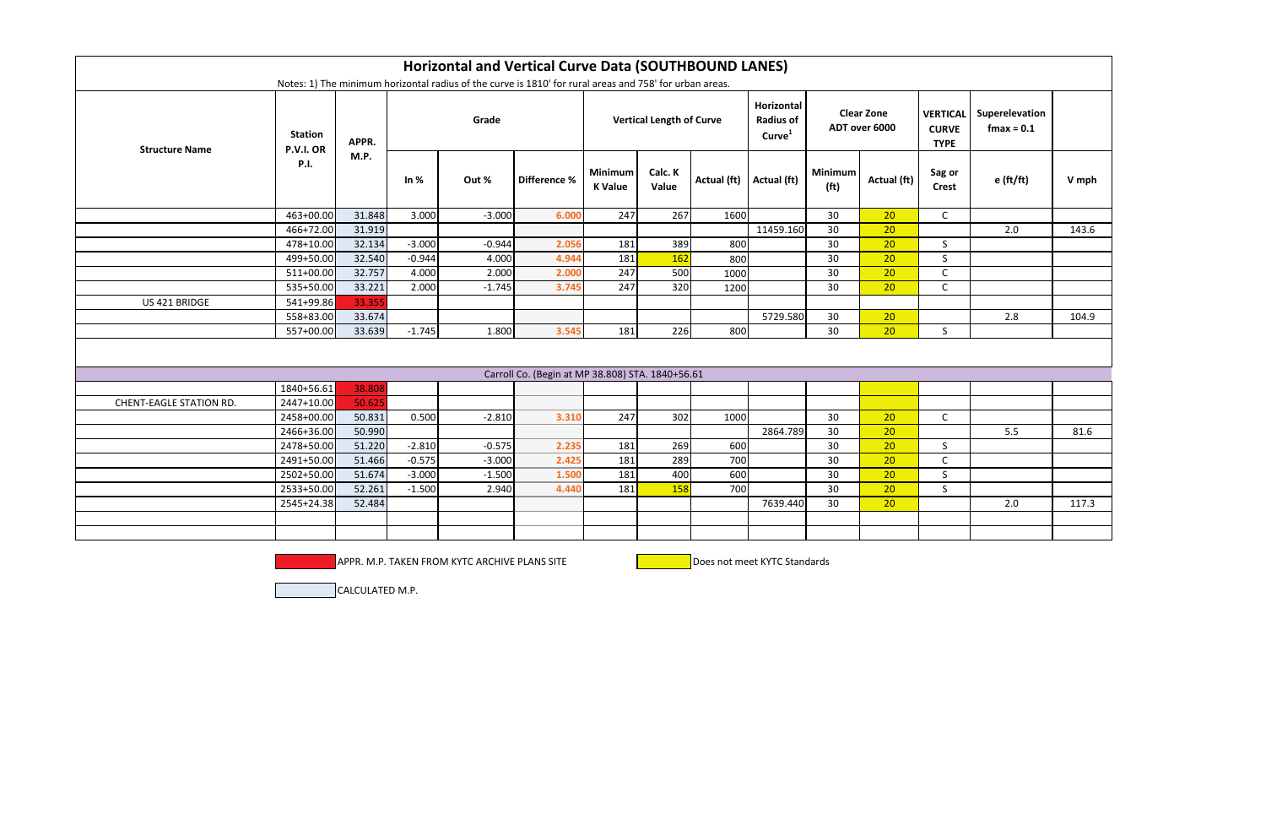| <b>Horizontal and Vertical Curve Data (SOUTHBOUND LANES)</b><br>Notes: 1) The minimum horizontal radius of the curve is 1810' for rural areas and 758' for urban areas. |                             |        |          |          |                                                  |                                  |                  |                           |                                                      |                                     |             |                                                |                                 |       |
|-------------------------------------------------------------------------------------------------------------------------------------------------------------------------|-----------------------------|--------|----------|----------|--------------------------------------------------|----------------------------------|------------------|---------------------------|------------------------------------------------------|-------------------------------------|-------------|------------------------------------------------|---------------------------------|-------|
| <b>Structure Name</b>                                                                                                                                                   | <b>Station</b><br>P.V.I. OR | APPR.  |          | Grade    |                                                  | <b>Vertical Length of Curve</b>  |                  |                           | Horizontal<br><b>Radius of</b><br>Curve <sup>1</sup> | <b>Clear Zone</b><br>ADT over 6000  |             | <b>VERTICAL</b><br><b>CURVE</b><br><b>TYPE</b> | Superelevation<br>$f$ max = 0.1 |       |
|                                                                                                                                                                         | <b>P.I.</b>                 | M.P.   | In $%$   | Out %    | Difference %                                     | <b>Minimum</b><br><b>K</b> Value | Calc. K<br>Value | Actual (ft)   Actual (ft) |                                                      | <b>Minimum</b><br>(f <sup>t</sup> ) | Actual (ft) | Sag or<br><b>Crest</b>                         | $e$ (ft/ft)                     | V mph |
|                                                                                                                                                                         | 463+00.00                   | 31.848 | 3.000    | $-3.000$ | 6.000                                            | 247                              | 267              | 1600                      |                                                      | 30                                  | 20          | $\mathsf{C}$                                   |                                 |       |
|                                                                                                                                                                         | 466+72.00                   | 31.919 |          |          |                                                  |                                  |                  |                           | 11459.160                                            | 30                                  | 20          |                                                | 2.0                             | 143.6 |
|                                                                                                                                                                         | 478+10.00                   | 32.134 | $-3.000$ | $-0.944$ | 2.056                                            | 181                              | 389              | 800                       |                                                      | 30                                  | 20          | S                                              |                                 |       |
|                                                                                                                                                                         | 499+50.00                   | 32.540 | $-0.944$ | 4.000    | 4.944                                            | 181                              | 162              | 800                       |                                                      | 30                                  | 20          | $\mathsf{S}$                                   |                                 |       |
|                                                                                                                                                                         | 511+00.00                   | 32.757 | 4.000    | 2.000    | 2.000                                            | 247                              | 500              | 1000                      |                                                      | 30                                  | 20          | $\mathsf C$                                    |                                 |       |
|                                                                                                                                                                         | 535+50.00                   | 33.221 | 2.000    | $-1.745$ | 3.745                                            | 247                              | 320              | 1200                      |                                                      | 30                                  | 20          | $\mathsf{C}$                                   |                                 |       |
| US 421 BRIDGE                                                                                                                                                           | 541+99.86                   | 33.355 |          |          |                                                  |                                  |                  |                           |                                                      |                                     |             |                                                |                                 |       |
|                                                                                                                                                                         | 558+83.00                   | 33.674 |          |          |                                                  |                                  |                  |                           | 5729.580                                             | 30                                  | 20          |                                                | 2.8                             | 104.9 |
|                                                                                                                                                                         | 557+00.00                   | 33.639 | $-1.745$ | 1.800    | 3.545                                            | 181                              | 226              | 800                       |                                                      | 30                                  | 20          | $\mathsf{S}$                                   |                                 |       |
|                                                                                                                                                                         |                             |        |          |          |                                                  |                                  |                  |                           |                                                      |                                     |             |                                                |                                 |       |
|                                                                                                                                                                         |                             |        |          |          | Carroll Co. (Begin at MP 38.808) STA. 1840+56.61 |                                  |                  |                           |                                                      |                                     |             |                                                |                                 |       |
|                                                                                                                                                                         | 1840+56.61                  | 38.808 |          |          |                                                  |                                  |                  |                           |                                                      |                                     |             |                                                |                                 |       |
| <b>CHENT-EAGLE STATION RD.</b>                                                                                                                                          | 2447+10.00                  | 50.625 |          |          |                                                  |                                  |                  |                           |                                                      |                                     |             |                                                |                                 |       |
|                                                                                                                                                                         | 2458+00.00                  | 50.831 | 0.500    | $-2.810$ | 3.310                                            | 247                              | 302              | 1000                      |                                                      | 30                                  | 20          | $\mathsf{C}$                                   |                                 |       |
|                                                                                                                                                                         | 2466+36.00                  | 50.990 |          |          |                                                  |                                  |                  |                           | 2864.789                                             | 30                                  | 20          |                                                | 5.5                             | 81.6  |
|                                                                                                                                                                         | 2478+50.00                  | 51.220 | $-2.810$ | $-0.575$ | 2.235                                            | 181                              | 269              | 600                       |                                                      | 30                                  | 20          | S                                              |                                 |       |
|                                                                                                                                                                         | 2491+50.00                  | 51.466 | $-0.575$ | $-3.000$ | 2.425                                            | 181                              | 289              | 700                       |                                                      | 30                                  | 20          | $\mathsf{C}$                                   |                                 |       |
|                                                                                                                                                                         | 2502+50.00                  | 51.674 | $-3.000$ | $-1.500$ | 1.500                                            | 181                              | 400              | 600                       |                                                      | 30                                  | 20          | S                                              |                                 |       |
|                                                                                                                                                                         | 2533+50.00                  | 52.261 | $-1.500$ | 2.940    | 4.440                                            | 181                              | 158              | 700                       |                                                      | 30                                  | 20          | $\mathsf{S}$                                   |                                 |       |
|                                                                                                                                                                         | 2545+24.38                  | 52.484 |          |          |                                                  |                                  |                  |                           | 7639.440                                             | 30                                  | 20          |                                                | 2.0                             | 117.3 |
|                                                                                                                                                                         |                             |        |          |          |                                                  |                                  |                  |                           |                                                      |                                     |             |                                                |                                 |       |
|                                                                                                                                                                         |                             |        |          |          |                                                  |                                  |                  |                           |                                                      |                                     |             |                                                |                                 |       |

APPR. M.P. TAKEN FROM KYTC ARCHIVE PLANS SITE **Does not meet KYTC Standards** 

CALCULATED M.P.